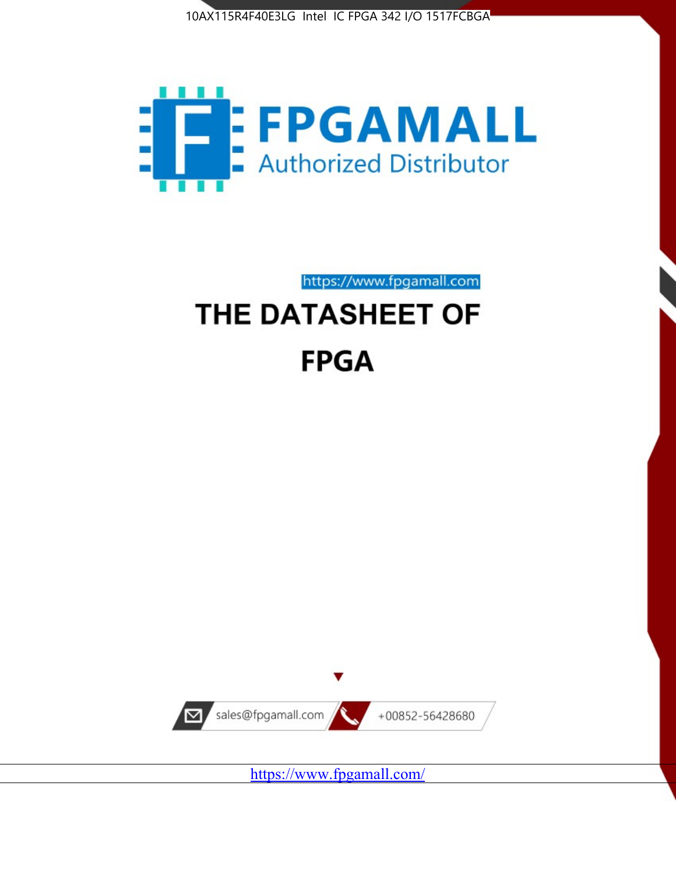



https://www.fpgamall.com THE DATASHEET OF

# **FPGA**



<https://www.fpgamall.com/>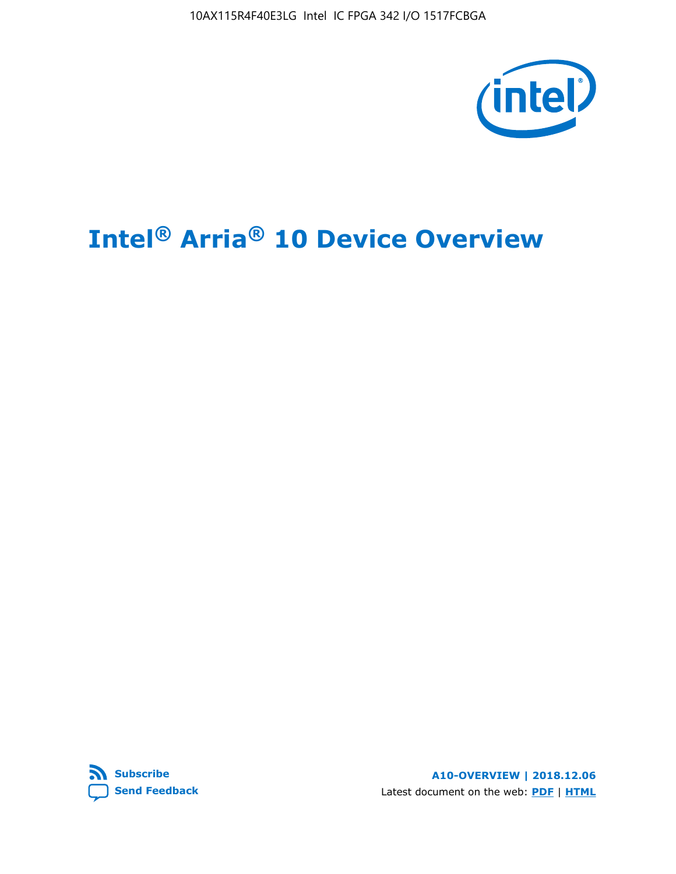10AX115R4F40E3LG Intel IC FPGA 342 I/O 1517FCBGA



# **Intel® Arria® 10 Device Overview**



**A10-OVERVIEW | 2018.12.06** Latest document on the web: **[PDF](https://www.intel.com/content/dam/www/programmable/us/en/pdfs/literature/hb/arria-10/a10_overview.pdf)** | **[HTML](https://www.intel.com/content/www/us/en/programmable/documentation/sam1403480274650.html)**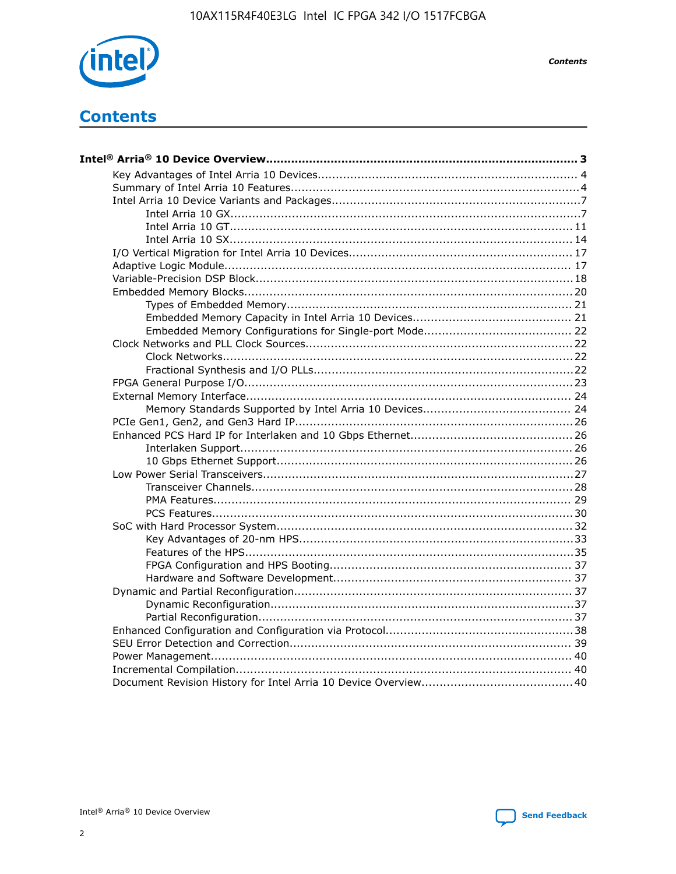

**Contents** 

# **Contents**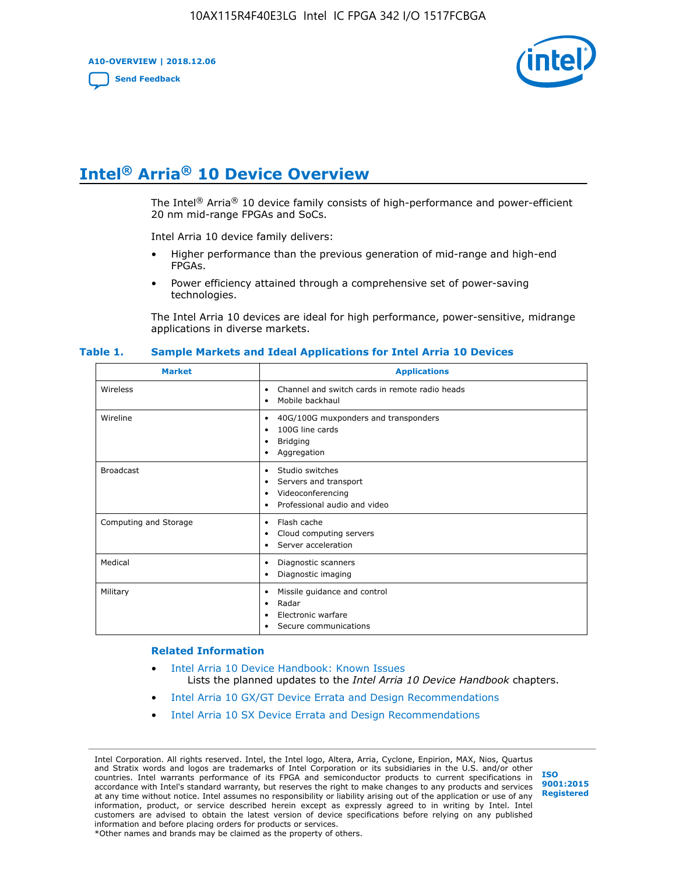**A10-OVERVIEW | 2018.12.06**

**[Send Feedback](mailto:FPGAtechdocfeedback@intel.com?subject=Feedback%20on%20Intel%20Arria%2010%20Device%20Overview%20(A10-OVERVIEW%202018.12.06)&body=We%20appreciate%20your%20feedback.%20In%20your%20comments,%20also%20specify%20the%20page%20number%20or%20paragraph.%20Thank%20you.)**



# **Intel® Arria® 10 Device Overview**

The Intel<sup>®</sup> Arria<sup>®</sup> 10 device family consists of high-performance and power-efficient 20 nm mid-range FPGAs and SoCs.

Intel Arria 10 device family delivers:

- Higher performance than the previous generation of mid-range and high-end FPGAs.
- Power efficiency attained through a comprehensive set of power-saving technologies.

The Intel Arria 10 devices are ideal for high performance, power-sensitive, midrange applications in diverse markets.

| <b>Market</b>         | <b>Applications</b>                                                                                               |
|-----------------------|-------------------------------------------------------------------------------------------------------------------|
| Wireless              | Channel and switch cards in remote radio heads<br>٠<br>Mobile backhaul<br>٠                                       |
| Wireline              | 40G/100G muxponders and transponders<br>٠<br>100G line cards<br>٠<br><b>Bridging</b><br>٠<br>Aggregation<br>٠     |
| <b>Broadcast</b>      | Studio switches<br>٠<br>Servers and transport<br>٠<br>Videoconferencing<br>٠<br>Professional audio and video<br>٠ |
| Computing and Storage | Flash cache<br>٠<br>Cloud computing servers<br>٠<br>Server acceleration<br>٠                                      |
| Medical               | Diagnostic scanners<br>٠<br>Diagnostic imaging<br>٠                                                               |
| Military              | Missile guidance and control<br>٠<br>Radar<br>٠<br>Electronic warfare<br>٠<br>Secure communications<br>٠          |

#### **Table 1. Sample Markets and Ideal Applications for Intel Arria 10 Devices**

#### **Related Information**

- [Intel Arria 10 Device Handbook: Known Issues](http://www.altera.com/support/kdb/solutions/rd07302013_646.html) Lists the planned updates to the *Intel Arria 10 Device Handbook* chapters.
- [Intel Arria 10 GX/GT Device Errata and Design Recommendations](https://www.intel.com/content/www/us/en/programmable/documentation/agz1493851706374.html#yqz1494433888646)
- [Intel Arria 10 SX Device Errata and Design Recommendations](https://www.intel.com/content/www/us/en/programmable/documentation/cru1462832385668.html#cru1462832558642)

Intel Corporation. All rights reserved. Intel, the Intel logo, Altera, Arria, Cyclone, Enpirion, MAX, Nios, Quartus and Stratix words and logos are trademarks of Intel Corporation or its subsidiaries in the U.S. and/or other countries. Intel warrants performance of its FPGA and semiconductor products to current specifications in accordance with Intel's standard warranty, but reserves the right to make changes to any products and services at any time without notice. Intel assumes no responsibility or liability arising out of the application or use of any information, product, or service described herein except as expressly agreed to in writing by Intel. Intel customers are advised to obtain the latest version of device specifications before relying on any published information and before placing orders for products or services. \*Other names and brands may be claimed as the property of others.

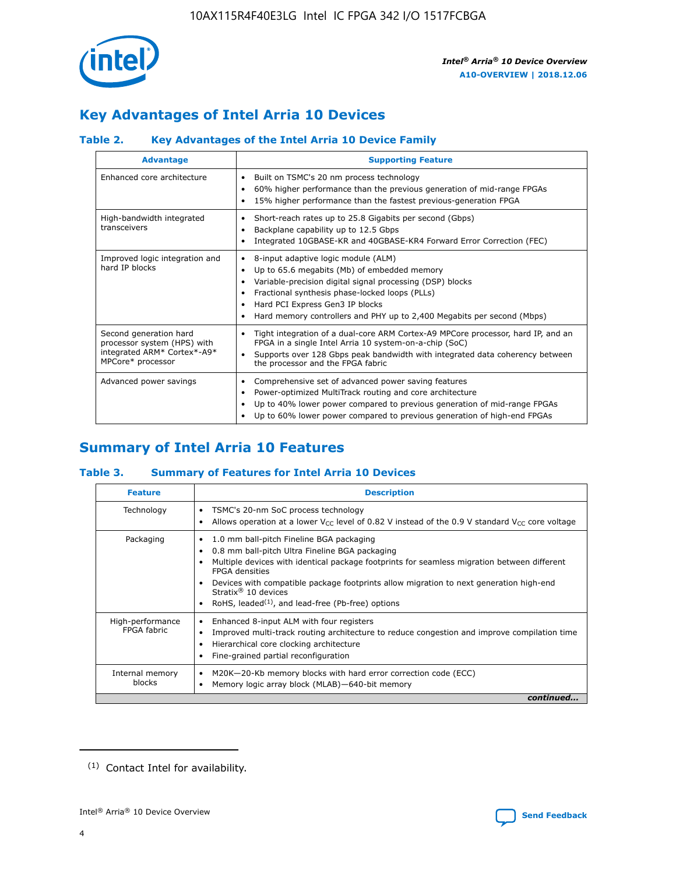

## **Key Advantages of Intel Arria 10 Devices**

## **Table 2. Key Advantages of the Intel Arria 10 Device Family**

| <b>Advantage</b>                                                                                          | <b>Supporting Feature</b>                                                                                                                                                                                                                                                                                                |  |  |  |  |  |  |
|-----------------------------------------------------------------------------------------------------------|--------------------------------------------------------------------------------------------------------------------------------------------------------------------------------------------------------------------------------------------------------------------------------------------------------------------------|--|--|--|--|--|--|
| Enhanced core architecture                                                                                | Built on TSMC's 20 nm process technology<br>٠<br>60% higher performance than the previous generation of mid-range FPGAs<br>٠<br>15% higher performance than the fastest previous-generation FPGA<br>٠                                                                                                                    |  |  |  |  |  |  |
| High-bandwidth integrated<br>transceivers                                                                 | Short-reach rates up to 25.8 Gigabits per second (Gbps)<br>٠<br>Backplane capability up to 12.5 Gbps<br>٠<br>Integrated 10GBASE-KR and 40GBASE-KR4 Forward Error Correction (FEC)<br>٠                                                                                                                                   |  |  |  |  |  |  |
| Improved logic integration and<br>hard IP blocks                                                          | 8-input adaptive logic module (ALM)<br>٠<br>Up to 65.6 megabits (Mb) of embedded memory<br>٠<br>Variable-precision digital signal processing (DSP) blocks<br>Fractional synthesis phase-locked loops (PLLs)<br>Hard PCI Express Gen3 IP blocks<br>Hard memory controllers and PHY up to 2,400 Megabits per second (Mbps) |  |  |  |  |  |  |
| Second generation hard<br>processor system (HPS) with<br>integrated ARM* Cortex*-A9*<br>MPCore* processor | Tight integration of a dual-core ARM Cortex-A9 MPCore processor, hard IP, and an<br>٠<br>FPGA in a single Intel Arria 10 system-on-a-chip (SoC)<br>Supports over 128 Gbps peak bandwidth with integrated data coherency between<br>$\bullet$<br>the processor and the FPGA fabric                                        |  |  |  |  |  |  |
| Advanced power savings                                                                                    | Comprehensive set of advanced power saving features<br>٠<br>Power-optimized MultiTrack routing and core architecture<br>٠<br>Up to 40% lower power compared to previous generation of mid-range FPGAs<br>Up to 60% lower power compared to previous generation of high-end FPGAs                                         |  |  |  |  |  |  |

## **Summary of Intel Arria 10 Features**

## **Table 3. Summary of Features for Intel Arria 10 Devices**

| <b>Feature</b>                  | <b>Description</b>                                                                                                                                                                                                                                                                                                                                                                                 |
|---------------------------------|----------------------------------------------------------------------------------------------------------------------------------------------------------------------------------------------------------------------------------------------------------------------------------------------------------------------------------------------------------------------------------------------------|
| Technology                      | TSMC's 20-nm SoC process technology<br>Allows operation at a lower $V_{\text{CC}}$ level of 0.82 V instead of the 0.9 V standard $V_{\text{CC}}$ core voltage                                                                                                                                                                                                                                      |
| Packaging                       | 1.0 mm ball-pitch Fineline BGA packaging<br>٠<br>0.8 mm ball-pitch Ultra Fineline BGA packaging<br>Multiple devices with identical package footprints for seamless migration between different<br><b>FPGA</b> densities<br>Devices with compatible package footprints allow migration to next generation high-end<br>Stratix $@10$ devices<br>RoHS, leaded $(1)$ , and lead-free (Pb-free) options |
| High-performance<br>FPGA fabric | Enhanced 8-input ALM with four registers<br>Improved multi-track routing architecture to reduce congestion and improve compilation time<br>Hierarchical core clocking architecture<br>Fine-grained partial reconfiguration                                                                                                                                                                         |
| Internal memory<br>blocks       | M20K-20-Kb memory blocks with hard error correction code (ECC)<br>Memory logic array block (MLAB)-640-bit memory                                                                                                                                                                                                                                                                                   |
|                                 | continued                                                                                                                                                                                                                                                                                                                                                                                          |



<sup>(1)</sup> Contact Intel for availability.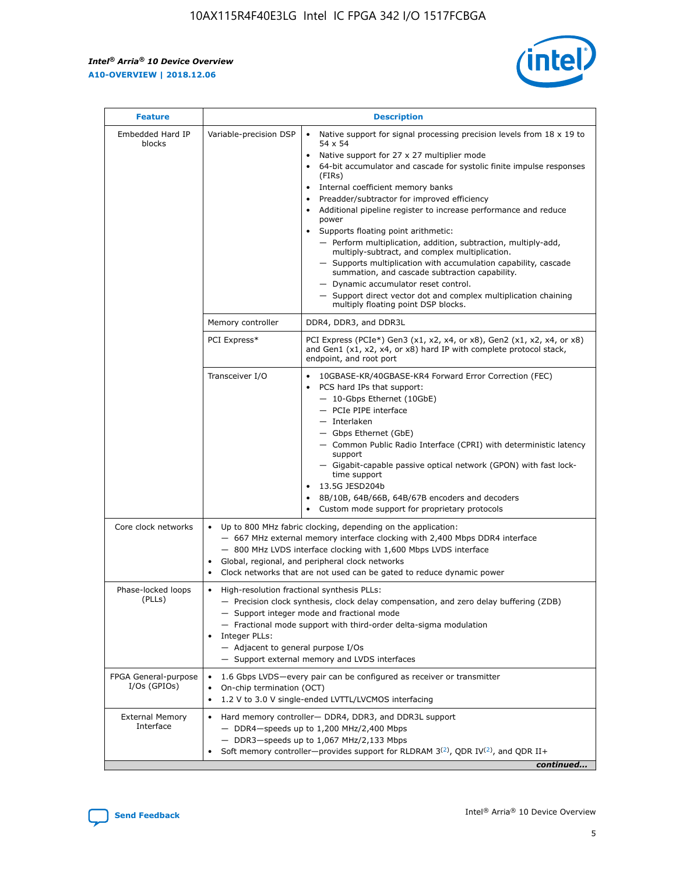$\mathbf{r}$ 



| <b>Feature</b>                         | <b>Description</b>                                                                                             |                                                                                                                                                                                                                                                                                                                                                                                                                                                                                                                                                                                                                                                                                                                                                                                                                                                                  |  |  |  |  |  |
|----------------------------------------|----------------------------------------------------------------------------------------------------------------|------------------------------------------------------------------------------------------------------------------------------------------------------------------------------------------------------------------------------------------------------------------------------------------------------------------------------------------------------------------------------------------------------------------------------------------------------------------------------------------------------------------------------------------------------------------------------------------------------------------------------------------------------------------------------------------------------------------------------------------------------------------------------------------------------------------------------------------------------------------|--|--|--|--|--|
| Embedded Hard IP<br>blocks             | Variable-precision DSP                                                                                         | Native support for signal processing precision levels from $18 \times 19$ to<br>$\bullet$<br>54 x 54<br>Native support for 27 x 27 multiplier mode<br>$\bullet$<br>64-bit accumulator and cascade for systolic finite impulse responses<br>(FIRs)<br>Internal coefficient memory banks<br>$\bullet$<br>Preadder/subtractor for improved efficiency<br>Additional pipeline register to increase performance and reduce<br>power<br>Supports floating point arithmetic:<br>- Perform multiplication, addition, subtraction, multiply-add,<br>multiply-subtract, and complex multiplication.<br>- Supports multiplication with accumulation capability, cascade<br>summation, and cascade subtraction capability.<br>- Dynamic accumulator reset control.<br>- Support direct vector dot and complex multiplication chaining<br>multiply floating point DSP blocks. |  |  |  |  |  |
|                                        | Memory controller                                                                                              | DDR4, DDR3, and DDR3L                                                                                                                                                                                                                                                                                                                                                                                                                                                                                                                                                                                                                                                                                                                                                                                                                                            |  |  |  |  |  |
|                                        | PCI Express*                                                                                                   | PCI Express (PCIe*) Gen3 (x1, x2, x4, or x8), Gen2 (x1, x2, x4, or x8)<br>and Gen1 (x1, x2, x4, or x8) hard IP with complete protocol stack,<br>endpoint, and root port                                                                                                                                                                                                                                                                                                                                                                                                                                                                                                                                                                                                                                                                                          |  |  |  |  |  |
|                                        | Transceiver I/O                                                                                                | 10GBASE-KR/40GBASE-KR4 Forward Error Correction (FEC)<br>PCS hard IPs that support:<br>- 10-Gbps Ethernet (10GbE)<br>- PCIe PIPE interface<br>- Interlaken<br>- Gbps Ethernet (GbE)<br>- Common Public Radio Interface (CPRI) with deterministic latency<br>support<br>- Gigabit-capable passive optical network (GPON) with fast lock-<br>time support<br>13.5G JESD204b<br>$\bullet$<br>8B/10B, 64B/66B, 64B/67B encoders and decoders<br>Custom mode support for proprietary protocols                                                                                                                                                                                                                                                                                                                                                                        |  |  |  |  |  |
| Core clock networks                    | $\bullet$                                                                                                      | Up to 800 MHz fabric clocking, depending on the application:<br>- 667 MHz external memory interface clocking with 2,400 Mbps DDR4 interface<br>- 800 MHz LVDS interface clocking with 1,600 Mbps LVDS interface<br>Global, regional, and peripheral clock networks<br>Clock networks that are not used can be gated to reduce dynamic power                                                                                                                                                                                                                                                                                                                                                                                                                                                                                                                      |  |  |  |  |  |
| Phase-locked loops<br>(PLLs)           | High-resolution fractional synthesis PLLs:<br>$\bullet$<br>Integer PLLs:<br>- Adjacent to general purpose I/Os | - Precision clock synthesis, clock delay compensation, and zero delay buffering (ZDB)<br>- Support integer mode and fractional mode<br>- Fractional mode support with third-order delta-sigma modulation<br>- Support external memory and LVDS interfaces                                                                                                                                                                                                                                                                                                                                                                                                                                                                                                                                                                                                        |  |  |  |  |  |
| FPGA General-purpose<br>$I/Os$ (GPIOs) | On-chip termination (OCT)<br>$\bullet$                                                                         | 1.6 Gbps LVDS-every pair can be configured as receiver or transmitter<br>1.2 V to 3.0 V single-ended LVTTL/LVCMOS interfacing                                                                                                                                                                                                                                                                                                                                                                                                                                                                                                                                                                                                                                                                                                                                    |  |  |  |  |  |
| <b>External Memory</b><br>Interface    | $\bullet$                                                                                                      | Hard memory controller- DDR4, DDR3, and DDR3L support<br>$-$ DDR4-speeds up to 1,200 MHz/2,400 Mbps<br>- DDR3-speeds up to 1,067 MHz/2,133 Mbps<br>Soft memory controller—provides support for RLDRAM $3^{(2)}$ , QDR IV $^{(2)}$ , and QDR II+<br>continued                                                                                                                                                                                                                                                                                                                                                                                                                                                                                                                                                                                                     |  |  |  |  |  |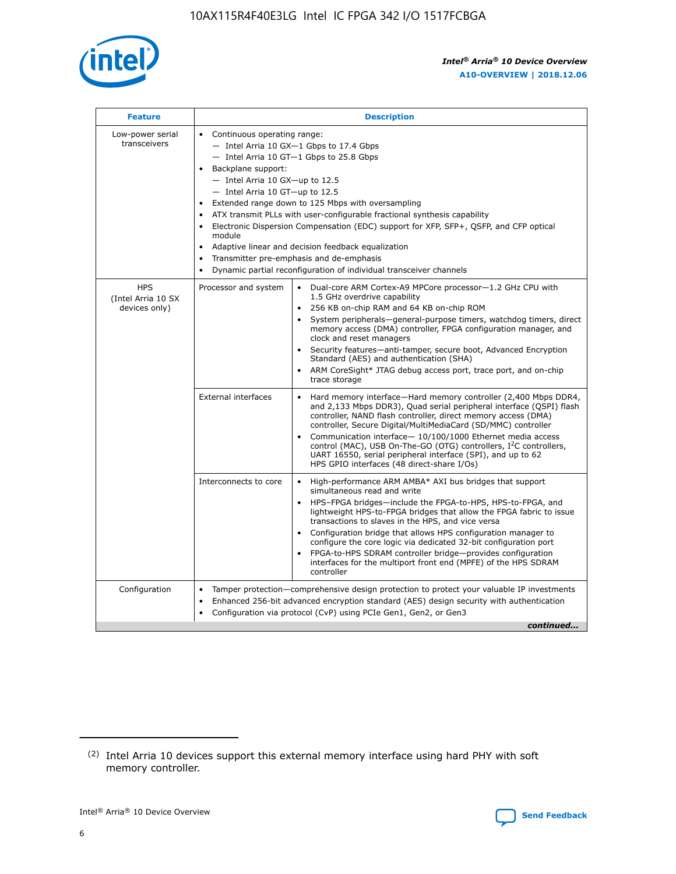

| <b>Feature</b>                                    | <b>Description</b>                                                                                                                                                                                                                                                                                                                                                                                                                                                                                                                                                                                                                                  |
|---------------------------------------------------|-----------------------------------------------------------------------------------------------------------------------------------------------------------------------------------------------------------------------------------------------------------------------------------------------------------------------------------------------------------------------------------------------------------------------------------------------------------------------------------------------------------------------------------------------------------------------------------------------------------------------------------------------------|
| Low-power serial<br>transceivers                  | • Continuous operating range:<br>- Intel Arria 10 GX-1 Gbps to 17.4 Gbps<br>- Intel Arria 10 GT-1 Gbps to 25.8 Gbps<br>Backplane support:<br>- Intel Arria 10 GX-up to 12.5<br>- Intel Arria 10 GT-up to 12.5<br>Extended range down to 125 Mbps with oversampling<br>ATX transmit PLLs with user-configurable fractional synthesis capability<br>Electronic Dispersion Compensation (EDC) support for XFP, SFP+, QSFP, and CFP optical<br>module<br>Adaptive linear and decision feedback equalization<br>$\bullet$<br>Transmitter pre-emphasis and de-emphasis<br>$\bullet$<br>Dynamic partial reconfiguration of individual transceiver channels |
| <b>HPS</b><br>(Intel Arria 10 SX<br>devices only) | Dual-core ARM Cortex-A9 MPCore processor-1.2 GHz CPU with<br>Processor and system<br>$\bullet$<br>1.5 GHz overdrive capability<br>256 KB on-chip RAM and 64 KB on-chip ROM<br>System peripherals—general-purpose timers, watchdog timers, direct<br>memory access (DMA) controller, FPGA configuration manager, and<br>clock and reset managers<br>Security features-anti-tamper, secure boot, Advanced Encryption<br>Standard (AES) and authentication (SHA)<br>ARM CoreSight* JTAG debug access port, trace port, and on-chip<br>trace storage                                                                                                    |
|                                                   | <b>External interfaces</b><br>Hard memory interface-Hard memory controller (2,400 Mbps DDR4,<br>$\bullet$<br>and 2,133 Mbps DDR3), Quad serial peripheral interface (QSPI) flash<br>controller, NAND flash controller, direct memory access (DMA)<br>controller, Secure Digital/MultiMediaCard (SD/MMC) controller<br>Communication interface-10/100/1000 Ethernet media access<br>control (MAC), USB On-The-GO (OTG) controllers, I <sup>2</sup> C controllers,<br>UART 16550, serial peripheral interface (SPI), and up to 62<br>HPS GPIO interfaces (48 direct-share I/Os)                                                                       |
|                                                   | High-performance ARM AMBA* AXI bus bridges that support<br>Interconnects to core<br>$\bullet$<br>simultaneous read and write<br>HPS-FPGA bridges-include the FPGA-to-HPS, HPS-to-FPGA, and<br>$\bullet$<br>lightweight HPS-to-FPGA bridges that allow the FPGA fabric to issue<br>transactions to slaves in the HPS, and vice versa<br>Configuration bridge that allows HPS configuration manager to<br>configure the core logic via dedicated 32-bit configuration port<br>FPGA-to-HPS SDRAM controller bridge-provides configuration<br>interfaces for the multiport front end (MPFE) of the HPS SDRAM<br>controller                              |
| Configuration                                     | Tamper protection—comprehensive design protection to protect your valuable IP investments<br>Enhanced 256-bit advanced encryption standard (AES) design security with authentication<br>٠<br>Configuration via protocol (CvP) using PCIe Gen1, Gen2, or Gen3<br>continued                                                                                                                                                                                                                                                                                                                                                                           |

<sup>(2)</sup> Intel Arria 10 devices support this external memory interface using hard PHY with soft memory controller.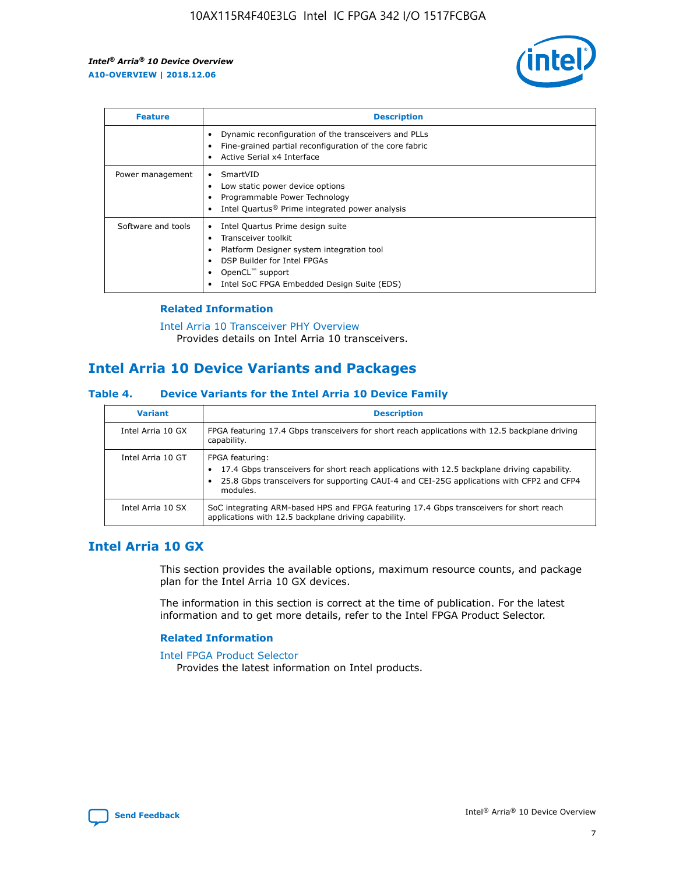

| <b>Feature</b>     | <b>Description</b>                                                                                                                                                                                               |
|--------------------|------------------------------------------------------------------------------------------------------------------------------------------------------------------------------------------------------------------|
|                    | Dynamic reconfiguration of the transceivers and PLLs<br>Fine-grained partial reconfiguration of the core fabric<br>Active Serial x4 Interface<br>$\bullet$                                                       |
| Power management   | SmartVID<br>Low static power device options<br>Programmable Power Technology<br>Intel Quartus <sup>®</sup> Prime integrated power analysis                                                                       |
| Software and tools | Intel Quartus Prime design suite<br>Transceiver toolkit<br>Platform Designer system integration tool<br>DSP Builder for Intel FPGAs<br>OpenCL <sup>™</sup> support<br>Intel SoC FPGA Embedded Design Suite (EDS) |

## **Related Information**

[Intel Arria 10 Transceiver PHY Overview](https://www.intel.com/content/www/us/en/programmable/documentation/nik1398707230472.html#nik1398706768037) Provides details on Intel Arria 10 transceivers.

## **Intel Arria 10 Device Variants and Packages**

#### **Table 4. Device Variants for the Intel Arria 10 Device Family**

| <b>Variant</b>    | <b>Description</b>                                                                                                                                                                                                     |
|-------------------|------------------------------------------------------------------------------------------------------------------------------------------------------------------------------------------------------------------------|
| Intel Arria 10 GX | FPGA featuring 17.4 Gbps transceivers for short reach applications with 12.5 backplane driving<br>capability.                                                                                                          |
| Intel Arria 10 GT | FPGA featuring:<br>17.4 Gbps transceivers for short reach applications with 12.5 backplane driving capability.<br>25.8 Gbps transceivers for supporting CAUI-4 and CEI-25G applications with CFP2 and CFP4<br>modules. |
| Intel Arria 10 SX | SoC integrating ARM-based HPS and FPGA featuring 17.4 Gbps transceivers for short reach<br>applications with 12.5 backplane driving capability.                                                                        |

## **Intel Arria 10 GX**

This section provides the available options, maximum resource counts, and package plan for the Intel Arria 10 GX devices.

The information in this section is correct at the time of publication. For the latest information and to get more details, refer to the Intel FPGA Product Selector.

#### **Related Information**

#### [Intel FPGA Product Selector](http://www.altera.com/products/selector/psg-selector.html) Provides the latest information on Intel products.

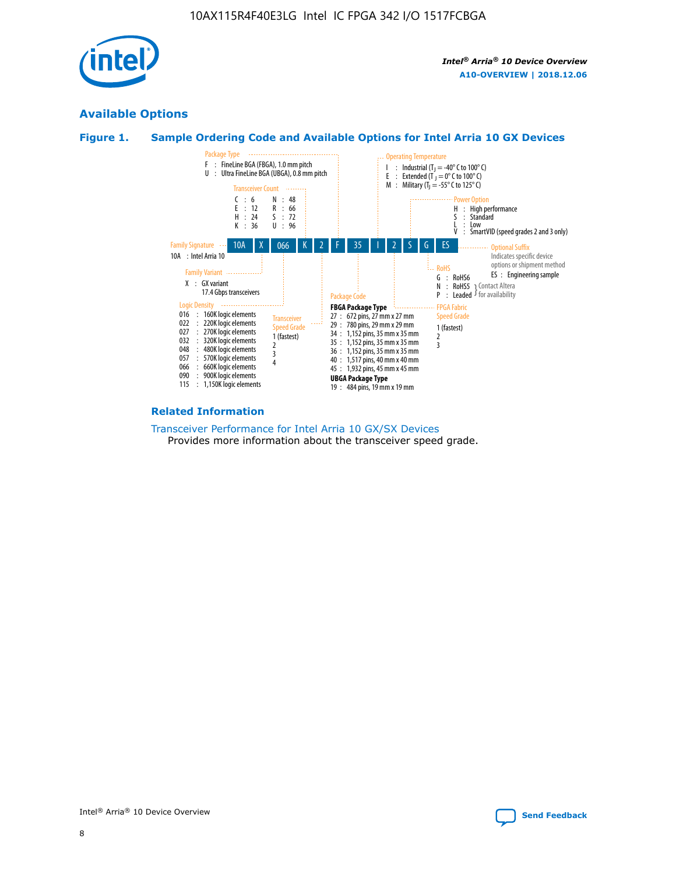

## **Available Options**





#### **Related Information**

[Transceiver Performance for Intel Arria 10 GX/SX Devices](https://www.intel.com/content/www/us/en/programmable/documentation/mcn1413182292568.html#mcn1413213965502) Provides more information about the transceiver speed grade.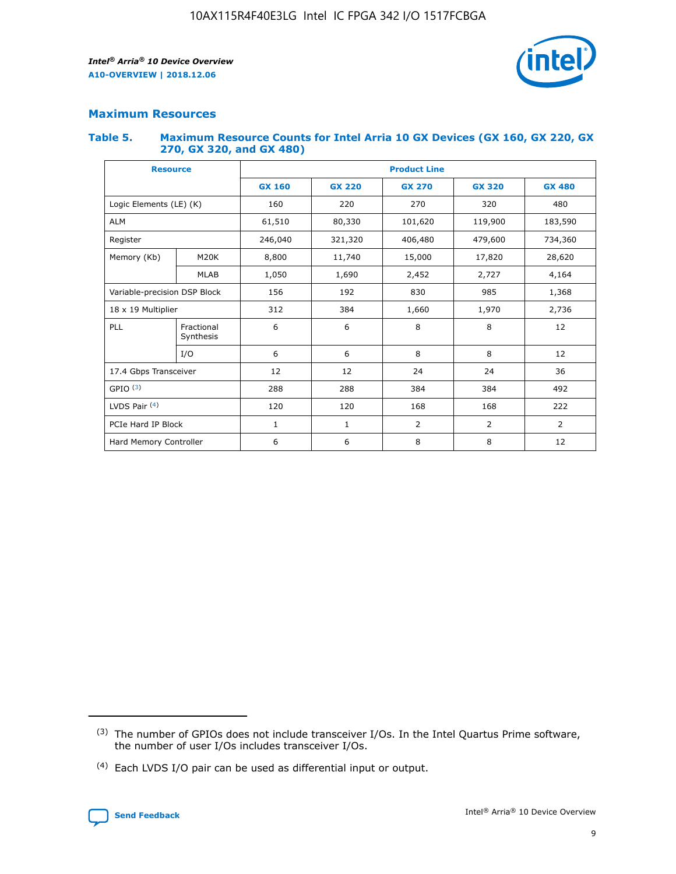

## **Maximum Resources**

#### **Table 5. Maximum Resource Counts for Intel Arria 10 GX Devices (GX 160, GX 220, GX 270, GX 320, and GX 480)**

| <b>Resource</b>         |                                                          | <b>Product Line</b> |                                                 |            |                |                |  |  |  |
|-------------------------|----------------------------------------------------------|---------------------|-------------------------------------------------|------------|----------------|----------------|--|--|--|
|                         |                                                          | <b>GX 160</b>       | <b>GX 220</b><br><b>GX 270</b><br><b>GX 320</b> |            |                | <b>GX 480</b>  |  |  |  |
| Logic Elements (LE) (K) |                                                          | 160                 | 220                                             | 270        | 320            | 480            |  |  |  |
| <b>ALM</b>              |                                                          | 61,510              | 80,330                                          | 101,620    | 119,900        | 183,590        |  |  |  |
| Register                |                                                          | 246,040             | 321,320                                         | 406,480    | 479,600        | 734,360        |  |  |  |
| Memory (Kb)             | M <sub>20</sub> K                                        | 8,800               | 11,740                                          | 15,000     | 17,820         | 28,620         |  |  |  |
| <b>MLAB</b>             |                                                          | 1,050               | 1,690                                           | 2,452      | 2,727          | 4,164          |  |  |  |
|                         | Variable-precision DSP Block<br>156<br>192<br>830<br>985 |                     |                                                 |            | 1,368          |                |  |  |  |
| 18 x 19 Multiplier      |                                                          | 312                 | 384                                             | 1,660      | 1,970          | 2,736          |  |  |  |
| PLL                     | Fractional<br>Synthesis                                  | 6                   | 6                                               | 8          | 8              | 12             |  |  |  |
|                         | I/O                                                      | 6                   | 6                                               | 8          | 8              | 12             |  |  |  |
| 17.4 Gbps Transceiver   |                                                          | 12                  | 12                                              | 24         | 24             |                |  |  |  |
| GPIO <sup>(3)</sup>     |                                                          | 288                 | 288                                             | 384<br>384 |                | 492            |  |  |  |
| LVDS Pair $(4)$         |                                                          | 120                 | 120                                             | 168        | 168            | 222            |  |  |  |
| PCIe Hard IP Block      |                                                          | 1                   | 1                                               | 2          | $\overline{2}$ | $\overline{2}$ |  |  |  |
| Hard Memory Controller  |                                                          | 6                   | 6                                               | 8          | 8              | 12             |  |  |  |

<sup>(4)</sup> Each LVDS I/O pair can be used as differential input or output.



<sup>(3)</sup> The number of GPIOs does not include transceiver I/Os. In the Intel Quartus Prime software, the number of user I/Os includes transceiver I/Os.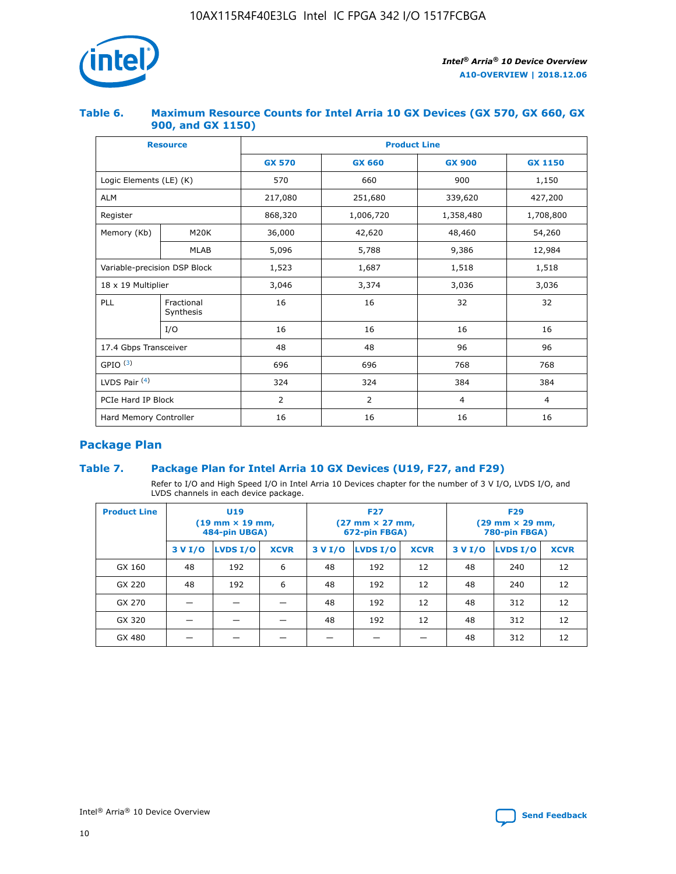

## **Table 6. Maximum Resource Counts for Intel Arria 10 GX Devices (GX 570, GX 660, GX 900, and GX 1150)**

|                              | <b>Resource</b>         | <b>Product Line</b> |                |                |                |  |  |  |
|------------------------------|-------------------------|---------------------|----------------|----------------|----------------|--|--|--|
|                              |                         | <b>GX 570</b>       | <b>GX 660</b>  |                | <b>GX 1150</b> |  |  |  |
| Logic Elements (LE) (K)      |                         | 570                 | 660            | 900            | 1,150          |  |  |  |
| <b>ALM</b>                   |                         | 217,080             | 251,680        | 339,620        | 427,200        |  |  |  |
| Register                     |                         | 868,320             | 1,006,720      | 1,358,480      | 1,708,800      |  |  |  |
| Memory (Kb)                  | <b>M20K</b>             | 36,000              | 42,620         | 48,460         | 54,260         |  |  |  |
|                              | <b>MLAB</b>             | 5,096               | 5,788          | 9,386          | 12,984         |  |  |  |
| Variable-precision DSP Block |                         | 1,523               | 1,687          | 1,518          | 1,518          |  |  |  |
| $18 \times 19$ Multiplier    |                         | 3,046               | 3,374          | 3,036          | 3,036          |  |  |  |
| PLL                          | Fractional<br>Synthesis | 16                  | 16             | 32             | 32             |  |  |  |
|                              | I/O                     | 16                  | 16             | 16             | 16             |  |  |  |
| 17.4 Gbps Transceiver        |                         | 48                  | 48<br>96       |                | 96             |  |  |  |
| GPIO <sup>(3)</sup>          |                         | 696                 | 696            | 768            | 768            |  |  |  |
| LVDS Pair $(4)$              |                         | 324                 | 324            |                | 384            |  |  |  |
| PCIe Hard IP Block           |                         | 2                   | $\overline{2}$ | $\overline{4}$ | 4              |  |  |  |
| Hard Memory Controller       |                         | 16                  | 16             | 16             | 16             |  |  |  |

## **Package Plan**

## **Table 7. Package Plan for Intel Arria 10 GX Devices (U19, F27, and F29)**

Refer to I/O and High Speed I/O in Intel Arria 10 Devices chapter for the number of 3 V I/O, LVDS I/O, and LVDS channels in each device package.

| <b>Product Line</b> | U <sub>19</sub><br>$(19 \text{ mm} \times 19 \text{ mm})$<br>484-pin UBGA) |          |             |         | <b>F27</b><br>(27 mm × 27 mm,<br>672-pin FBGA) |             | <b>F29</b><br>(29 mm × 29 mm,<br>780-pin FBGA) |          |             |  |
|---------------------|----------------------------------------------------------------------------|----------|-------------|---------|------------------------------------------------|-------------|------------------------------------------------|----------|-------------|--|
|                     | 3 V I/O                                                                    | LVDS I/O | <b>XCVR</b> | 3 V I/O | <b>LVDS I/O</b>                                | <b>XCVR</b> | 3 V I/O                                        | LVDS I/O | <b>XCVR</b> |  |
| GX 160              | 48                                                                         | 192      | 6           | 48      | 192                                            | 12          | 48                                             | 240      | 12          |  |
| GX 220              | 48                                                                         | 192      | 6           | 48      | 192                                            | 12          | 48                                             | 240      | 12          |  |
| GX 270              |                                                                            |          |             | 48      | 192                                            | 12          | 48                                             | 312      | 12          |  |
| GX 320              |                                                                            |          |             | 48      | 192                                            | 12          | 48                                             | 312      | 12          |  |
| GX 480              |                                                                            |          |             |         |                                                |             | 48                                             | 312      | 12          |  |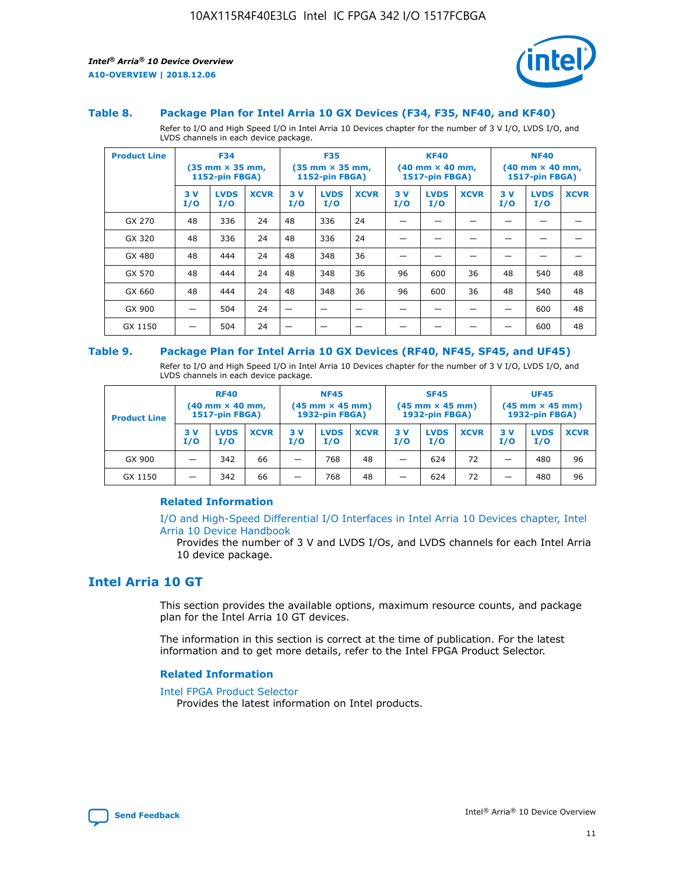

#### **Table 8. Package Plan for Intel Arria 10 GX Devices (F34, F35, NF40, and KF40)**

Refer to I/O and High Speed I/O in Intel Arria 10 Devices chapter for the number of 3 V I/O, LVDS I/O, and LVDS channels in each device package.

| <b>Product Line</b> | <b>F34</b><br>$(35 \text{ mm} \times 35 \text{ mm})$<br>1152-pin FBGA) |                    | <b>F35</b><br>$(35 \text{ mm} \times 35 \text{ mm})$<br><b>1152-pin FBGA)</b> |           | <b>KF40</b><br>$(40$ mm $\times$ 40 mm,<br>1517-pin FBGA) |             |           | <b>NF40</b><br>$(40$ mm $\times$ 40 mm,<br><b>1517-pin FBGA)</b> |             |            |                    |             |
|---------------------|------------------------------------------------------------------------|--------------------|-------------------------------------------------------------------------------|-----------|-----------------------------------------------------------|-------------|-----------|------------------------------------------------------------------|-------------|------------|--------------------|-------------|
|                     | 3V<br>I/O                                                              | <b>LVDS</b><br>I/O | <b>XCVR</b>                                                                   | 3V<br>I/O | <b>LVDS</b><br>I/O                                        | <b>XCVR</b> | 3V<br>I/O | <b>LVDS</b><br>I/O                                               | <b>XCVR</b> | 3 V<br>I/O | <b>LVDS</b><br>I/O | <b>XCVR</b> |
| GX 270              | 48                                                                     | 336                | 24                                                                            | 48        | 336                                                       | 24          |           |                                                                  |             |            |                    |             |
| GX 320              | 48                                                                     | 336                | 24                                                                            | 48        | 336                                                       | 24          |           |                                                                  |             |            |                    |             |
| GX 480              | 48                                                                     | 444                | 24                                                                            | 48        | 348                                                       | 36          |           |                                                                  |             |            |                    |             |
| GX 570              | 48                                                                     | 444                | 24                                                                            | 48        | 348                                                       | 36          | 96        | 600                                                              | 36          | 48         | 540                | 48          |
| GX 660              | 48                                                                     | 444                | 24                                                                            | 48        | 348                                                       | 36          | 96        | 600                                                              | 36          | 48         | 540                | 48          |
| GX 900              |                                                                        | 504                | 24                                                                            | -         |                                                           |             |           |                                                                  |             |            | 600                | 48          |
| GX 1150             |                                                                        | 504                | 24                                                                            |           |                                                           |             |           |                                                                  |             |            | 600                | 48          |

#### **Table 9. Package Plan for Intel Arria 10 GX Devices (RF40, NF45, SF45, and UF45)**

Refer to I/O and High Speed I/O in Intel Arria 10 Devices chapter for the number of 3 V I/O, LVDS I/O, and LVDS channels in each device package.

| <b>Product Line</b> | <b>RF40</b><br>$(40$ mm $\times$ 40 mm,<br>1517-pin FBGA) |                    | <b>NF45</b><br>$(45 \text{ mm} \times 45 \text{ mm})$<br><b>1932-pin FBGA)</b> |            |                    | <b>SF45</b><br>$(45 \text{ mm} \times 45 \text{ mm})$<br><b>1932-pin FBGA)</b> |            |                    | <b>UF45</b><br>$(45 \text{ mm} \times 45 \text{ mm})$<br><b>1932-pin FBGA)</b> |           |                    |             |
|---------------------|-----------------------------------------------------------|--------------------|--------------------------------------------------------------------------------|------------|--------------------|--------------------------------------------------------------------------------|------------|--------------------|--------------------------------------------------------------------------------|-----------|--------------------|-------------|
|                     | 3V<br>I/O                                                 | <b>LVDS</b><br>I/O | <b>XCVR</b>                                                                    | 3 V<br>I/O | <b>LVDS</b><br>I/O | <b>XCVR</b>                                                                    | 3 V<br>I/O | <b>LVDS</b><br>I/O | <b>XCVR</b>                                                                    | 3V<br>I/O | <b>LVDS</b><br>I/O | <b>XCVR</b> |
| GX 900              |                                                           | 342                | 66                                                                             | _          | 768                | 48                                                                             |            | 624                | 72                                                                             |           | 480                | 96          |
| GX 1150             |                                                           | 342                | 66                                                                             | _          | 768                | 48                                                                             |            | 624                | 72                                                                             |           | 480                | 96          |

#### **Related Information**

[I/O and High-Speed Differential I/O Interfaces in Intel Arria 10 Devices chapter, Intel](https://www.intel.com/content/www/us/en/programmable/documentation/sam1403482614086.html#sam1403482030321) [Arria 10 Device Handbook](https://www.intel.com/content/www/us/en/programmable/documentation/sam1403482614086.html#sam1403482030321)

Provides the number of 3 V and LVDS I/Os, and LVDS channels for each Intel Arria 10 device package.

## **Intel Arria 10 GT**

This section provides the available options, maximum resource counts, and package plan for the Intel Arria 10 GT devices.

The information in this section is correct at the time of publication. For the latest information and to get more details, refer to the Intel FPGA Product Selector.

#### **Related Information**

#### [Intel FPGA Product Selector](http://www.altera.com/products/selector/psg-selector.html)

Provides the latest information on Intel products.

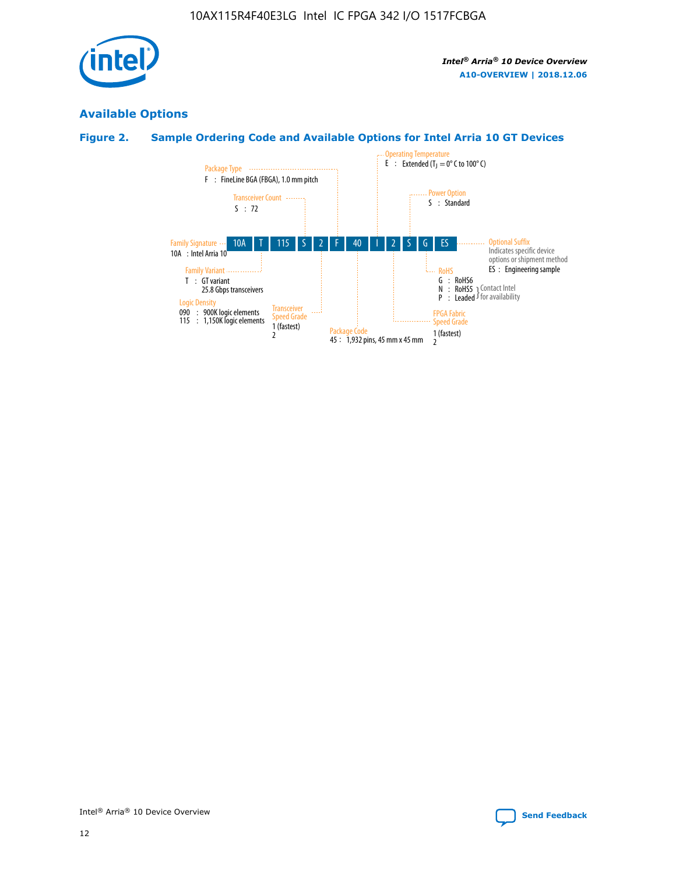

## **Available Options**

## **Figure 2. Sample Ordering Code and Available Options for Intel Arria 10 GT Devices**

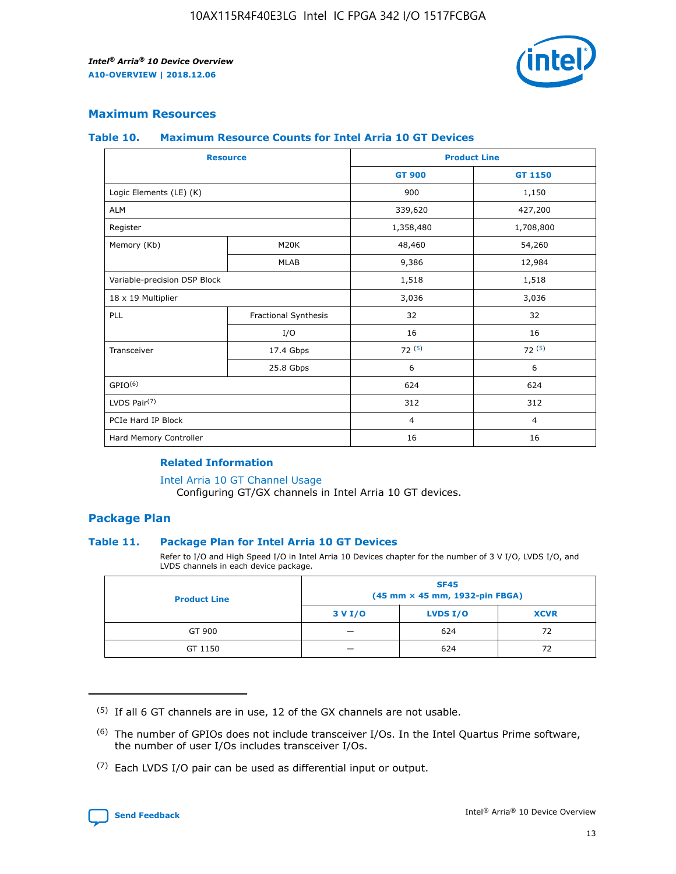

## **Maximum Resources**

#### **Table 10. Maximum Resource Counts for Intel Arria 10 GT Devices**

| <b>Resource</b>              |                      |                | <b>Product Line</b> |  |
|------------------------------|----------------------|----------------|---------------------|--|
|                              |                      | <b>GT 900</b>  | GT 1150             |  |
| Logic Elements (LE) (K)      |                      | 900            | 1,150               |  |
| <b>ALM</b>                   |                      | 339,620        | 427,200             |  |
| Register                     |                      | 1,358,480      | 1,708,800           |  |
| Memory (Kb)                  | M <sub>20</sub> K    | 48,460         | 54,260              |  |
|                              | <b>MLAB</b>          | 9,386          | 12,984              |  |
| Variable-precision DSP Block |                      | 1,518          | 1,518               |  |
| 18 x 19 Multiplier           |                      | 3,036          | 3,036               |  |
| PLL                          | Fractional Synthesis | 32             | 32                  |  |
|                              | I/O                  | 16             | 16                  |  |
| Transceiver                  | 17.4 Gbps            | 72(5)          | 72(5)               |  |
|                              | 25.8 Gbps            | 6              | 6                   |  |
| GPIO <sup>(6)</sup>          |                      | 624            | 624                 |  |
| LVDS Pair $(7)$              |                      | 312            | 312                 |  |
| PCIe Hard IP Block           |                      | $\overline{4}$ | $\overline{4}$      |  |
| Hard Memory Controller       |                      | 16             | 16                  |  |

#### **Related Information**

#### [Intel Arria 10 GT Channel Usage](https://www.intel.com/content/www/us/en/programmable/documentation/nik1398707230472.html#nik1398707008178)

Configuring GT/GX channels in Intel Arria 10 GT devices.

## **Package Plan**

#### **Table 11. Package Plan for Intel Arria 10 GT Devices**

Refer to I/O and High Speed I/O in Intel Arria 10 Devices chapter for the number of 3 V I/O, LVDS I/O, and LVDS channels in each device package.

| <b>Product Line</b> | <b>SF45</b><br>(45 mm × 45 mm, 1932-pin FBGA) |                 |             |  |  |  |
|---------------------|-----------------------------------------------|-----------------|-------------|--|--|--|
|                     | 3 V I/O                                       | <b>LVDS I/O</b> | <b>XCVR</b> |  |  |  |
| GT 900              |                                               | 624             | 72          |  |  |  |
| GT 1150             |                                               | 624             | 72          |  |  |  |

<sup>(7)</sup> Each LVDS I/O pair can be used as differential input or output.



 $(5)$  If all 6 GT channels are in use, 12 of the GX channels are not usable.

<sup>(6)</sup> The number of GPIOs does not include transceiver I/Os. In the Intel Quartus Prime software, the number of user I/Os includes transceiver I/Os.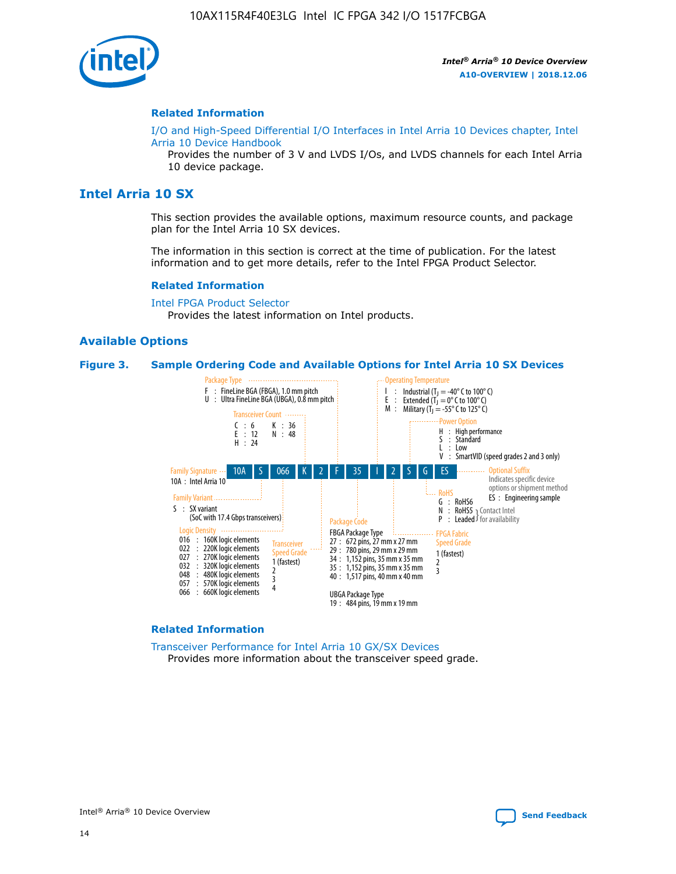

#### **Related Information**

[I/O and High-Speed Differential I/O Interfaces in Intel Arria 10 Devices chapter, Intel](https://www.intel.com/content/www/us/en/programmable/documentation/sam1403482614086.html#sam1403482030321) [Arria 10 Device Handbook](https://www.intel.com/content/www/us/en/programmable/documentation/sam1403482614086.html#sam1403482030321)

Provides the number of 3 V and LVDS I/Os, and LVDS channels for each Intel Arria 10 device package.

## **Intel Arria 10 SX**

This section provides the available options, maximum resource counts, and package plan for the Intel Arria 10 SX devices.

The information in this section is correct at the time of publication. For the latest information and to get more details, refer to the Intel FPGA Product Selector.

#### **Related Information**

[Intel FPGA Product Selector](http://www.altera.com/products/selector/psg-selector.html) Provides the latest information on Intel products.

#### **Available Options**

#### **Figure 3. Sample Ordering Code and Available Options for Intel Arria 10 SX Devices**



#### **Related Information**

[Transceiver Performance for Intel Arria 10 GX/SX Devices](https://www.intel.com/content/www/us/en/programmable/documentation/mcn1413182292568.html#mcn1413213965502) Provides more information about the transceiver speed grade.

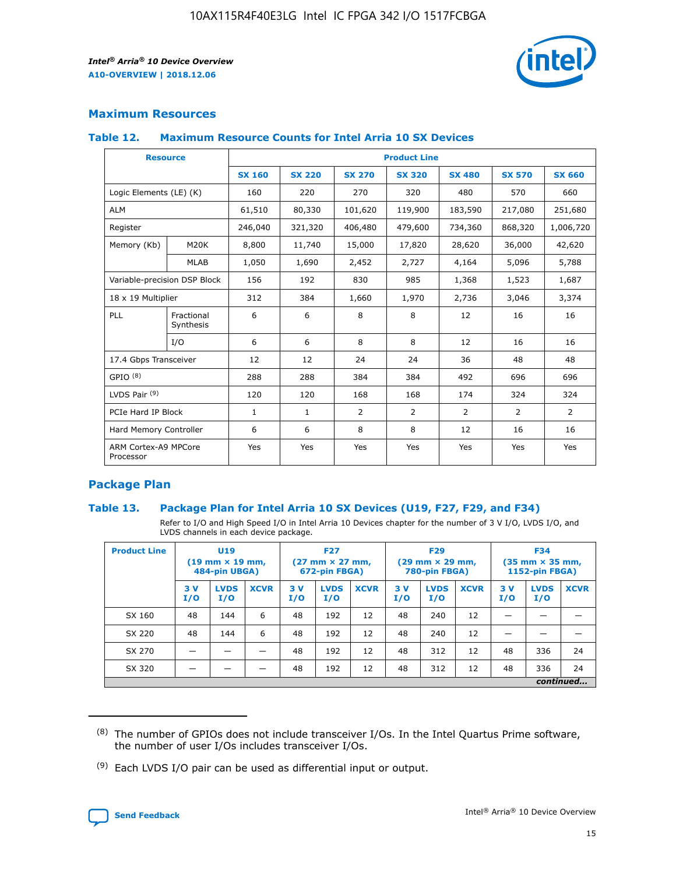

## **Maximum Resources**

#### **Table 12. Maximum Resource Counts for Intel Arria 10 SX Devices**

| <b>Resource</b>                   |                         | <b>Product Line</b> |               |               |                |               |               |               |  |  |  |
|-----------------------------------|-------------------------|---------------------|---------------|---------------|----------------|---------------|---------------|---------------|--|--|--|
|                                   |                         | <b>SX 160</b>       | <b>SX 220</b> | <b>SX 270</b> | <b>SX 320</b>  | <b>SX 480</b> | <b>SX 570</b> | <b>SX 660</b> |  |  |  |
| Logic Elements (LE) (K)           |                         | 160                 | 220           | 270           | 320            | 480           | 570           | 660           |  |  |  |
| <b>ALM</b>                        |                         | 61,510              | 80,330        | 101,620       | 119,900        | 183,590       | 217,080       | 251,680       |  |  |  |
| Register                          |                         | 246,040             | 321,320       | 406,480       | 479,600        | 734,360       | 868,320       | 1,006,720     |  |  |  |
| Memory (Kb)                       | M20K                    | 8,800               | 11,740        | 15,000        | 17,820         | 28,620        | 36,000        | 42,620        |  |  |  |
|                                   | <b>MLAB</b>             | 1,050               | 1,690         | 2,452         | 2,727          | 4,164         | 5,096         | 5,788         |  |  |  |
| Variable-precision DSP Block      |                         | 156                 | 192           | 830           | 985            | 1,368         | 1,523         | 1,687         |  |  |  |
| 18 x 19 Multiplier                |                         | 312                 | 384           | 1,660         | 1,970          | 2,736         | 3,046         | 3,374         |  |  |  |
| PLL                               | Fractional<br>Synthesis | 6                   | 6             | 8             | 8              | 12            | 16            | 16            |  |  |  |
|                                   | I/O                     | 6                   | 6             | 8             | 8              | 12            | 16            | 16            |  |  |  |
| 17.4 Gbps Transceiver             |                         | 12                  | 12            | 24            | 24             | 36            | 48            | 48            |  |  |  |
| GPIO <sup>(8)</sup>               |                         | 288                 | 288           | 384           | 384            | 492           | 696           | 696           |  |  |  |
| LVDS Pair $(9)$                   |                         | 120                 | 120           | 168           | 168            | 174           | 324           | 324           |  |  |  |
| PCIe Hard IP Block                |                         | $\mathbf{1}$        | $\mathbf{1}$  | 2             | $\overline{2}$ | 2             | 2             | 2             |  |  |  |
| Hard Memory Controller            |                         | 6                   | 6             | 8             | 8              | 12            | 16            | 16            |  |  |  |
| ARM Cortex-A9 MPCore<br>Processor |                         | Yes                 | Yes           | Yes           | Yes            | Yes           | Yes           | Yes           |  |  |  |

## **Package Plan**

#### **Table 13. Package Plan for Intel Arria 10 SX Devices (U19, F27, F29, and F34)**

Refer to I/O and High Speed I/O in Intel Arria 10 Devices chapter for the number of 3 V I/O, LVDS I/O, and LVDS channels in each device package.

| <b>Product Line</b> | U <sub>19</sub><br>$(19 \text{ mm} \times 19 \text{ mm})$ .<br>484-pin UBGA) |                    |             | <b>F27</b><br>$(27 \text{ mm} \times 27 \text{ mm})$<br>672-pin FBGA) |                    | <b>F29</b><br>$(29 \text{ mm} \times 29 \text{ mm})$<br>780-pin FBGA) |           |                    | <b>F34</b><br>$(35 \text{ mm} \times 35 \text{ mm})$<br><b>1152-pin FBGA)</b> |           |                    |             |
|---------------------|------------------------------------------------------------------------------|--------------------|-------------|-----------------------------------------------------------------------|--------------------|-----------------------------------------------------------------------|-----------|--------------------|-------------------------------------------------------------------------------|-----------|--------------------|-------------|
|                     | 3V<br>I/O                                                                    | <b>LVDS</b><br>I/O | <b>XCVR</b> | 3V<br>I/O                                                             | <b>LVDS</b><br>I/O | <b>XCVR</b>                                                           | 3V<br>I/O | <b>LVDS</b><br>I/O | <b>XCVR</b>                                                                   | 3V<br>I/O | <b>LVDS</b><br>I/O | <b>XCVR</b> |
| SX 160              | 48                                                                           | 144                | 6           | 48                                                                    | 192                | 12                                                                    | 48        | 240                | 12                                                                            |           |                    |             |
| SX 220              | 48                                                                           | 144                | 6           | 48                                                                    | 192                | 12                                                                    | 48        | 240                | 12                                                                            |           |                    |             |
| SX 270              |                                                                              |                    |             | 48                                                                    | 192                | 12                                                                    | 48        | 312                | 12                                                                            | 48        | 336                | 24          |
| SX 320              |                                                                              |                    |             | 48                                                                    | 192                | 12                                                                    | 48        | 312                | 12                                                                            | 48        | 336                | 24          |
|                     | continued                                                                    |                    |             |                                                                       |                    |                                                                       |           |                    |                                                                               |           |                    |             |

 $(8)$  The number of GPIOs does not include transceiver I/Os. In the Intel Quartus Prime software, the number of user I/Os includes transceiver I/Os.

 $(9)$  Each LVDS I/O pair can be used as differential input or output.

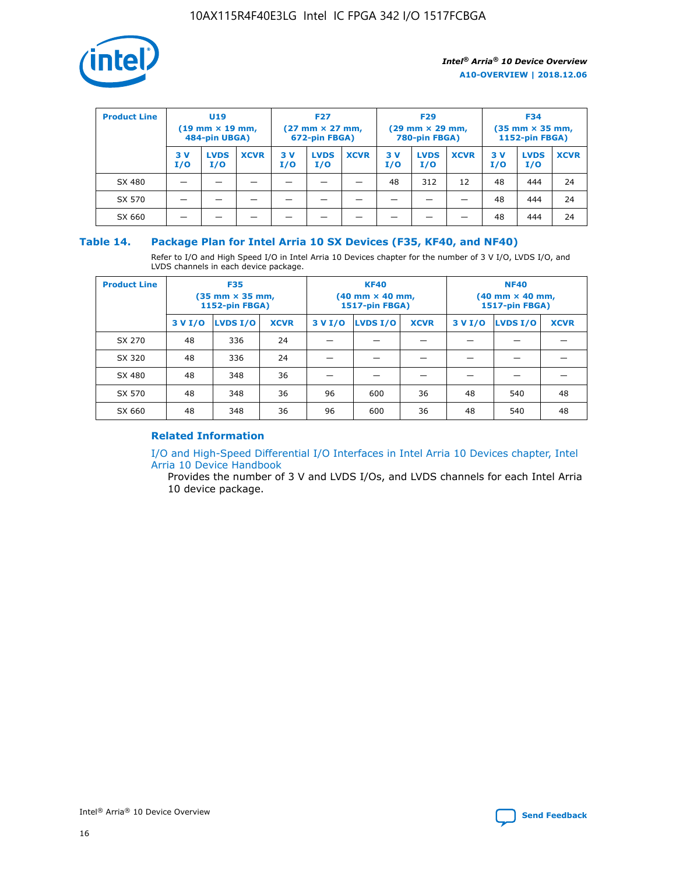

| <b>Product Line</b><br>$(19 \text{ mm} \times 19 \text{ mm})$<br>484-pin UBGA) |            | <b>U19</b>         |             |           | <b>F27</b><br>$(27 \text{ mm} \times 27 \text{ mm})$<br>672-pin FBGA) |             | <b>F29</b><br>$(29$ mm $\times$ 29 mm,<br>780-pin FBGA) |                    |             | <b>F34</b><br>$(35$ mm $\times$ 35 mm,<br><b>1152-pin FBGA)</b> |                    |             |
|--------------------------------------------------------------------------------|------------|--------------------|-------------|-----------|-----------------------------------------------------------------------|-------------|---------------------------------------------------------|--------------------|-------------|-----------------------------------------------------------------|--------------------|-------------|
|                                                                                | 3 V<br>I/O | <b>LVDS</b><br>I/O | <b>XCVR</b> | 3V<br>I/O | <b>LVDS</b><br>I/O                                                    | <b>XCVR</b> | 3V<br>I/O                                               | <b>LVDS</b><br>I/O | <b>XCVR</b> | 3V<br>I/O                                                       | <b>LVDS</b><br>I/O | <b>XCVR</b> |
| SX 480                                                                         |            |                    |             |           |                                                                       |             | 48                                                      | 312                | 12          | 48                                                              | 444                | 24          |
| SX 570                                                                         |            |                    |             |           |                                                                       |             |                                                         |                    |             | 48                                                              | 444                | 24          |
| SX 660                                                                         |            |                    |             |           |                                                                       |             |                                                         |                    |             | 48                                                              | 444                | 24          |

## **Table 14. Package Plan for Intel Arria 10 SX Devices (F35, KF40, and NF40)**

Refer to I/O and High Speed I/O in Intel Arria 10 Devices chapter for the number of 3 V I/O, LVDS I/O, and LVDS channels in each device package.

| <b>Product Line</b> | <b>F35</b><br>(35 mm × 35 mm,<br><b>1152-pin FBGA)</b> |          |             |                                           | <b>KF40</b><br>(40 mm × 40 mm,<br>1517-pin FBGA) |    | <b>NF40</b><br>$(40 \text{ mm} \times 40 \text{ mm})$<br>1517-pin FBGA) |          |             |  |
|---------------------|--------------------------------------------------------|----------|-------------|-------------------------------------------|--------------------------------------------------|----|-------------------------------------------------------------------------|----------|-------------|--|
|                     | 3 V I/O                                                | LVDS I/O | <b>XCVR</b> | <b>LVDS I/O</b><br>3 V I/O<br><b>XCVR</b> |                                                  |    | 3 V I/O                                                                 | LVDS I/O | <b>XCVR</b> |  |
| SX 270              | 48                                                     | 336      | 24          |                                           |                                                  |    |                                                                         |          |             |  |
| SX 320              | 48                                                     | 336      | 24          |                                           |                                                  |    |                                                                         |          |             |  |
| SX 480              | 48                                                     | 348      | 36          |                                           |                                                  |    |                                                                         |          |             |  |
| SX 570              | 48                                                     | 348      | 36          | 96                                        | 600                                              | 36 | 48                                                                      | 540      | 48          |  |
| SX 660              | 48                                                     | 348      | 36          | 96                                        | 600                                              | 36 | 48                                                                      | 540      | 48          |  |

## **Related Information**

[I/O and High-Speed Differential I/O Interfaces in Intel Arria 10 Devices chapter, Intel](https://www.intel.com/content/www/us/en/programmable/documentation/sam1403482614086.html#sam1403482030321) [Arria 10 Device Handbook](https://www.intel.com/content/www/us/en/programmable/documentation/sam1403482614086.html#sam1403482030321)

Provides the number of 3 V and LVDS I/Os, and LVDS channels for each Intel Arria 10 device package.

Intel<sup>®</sup> Arria<sup>®</sup> 10 Device Overview **[Send Feedback](mailto:FPGAtechdocfeedback@intel.com?subject=Feedback%20on%20Intel%20Arria%2010%20Device%20Overview%20(A10-OVERVIEW%202018.12.06)&body=We%20appreciate%20your%20feedback.%20In%20your%20comments,%20also%20specify%20the%20page%20number%20or%20paragraph.%20Thank%20you.)** Send Feedback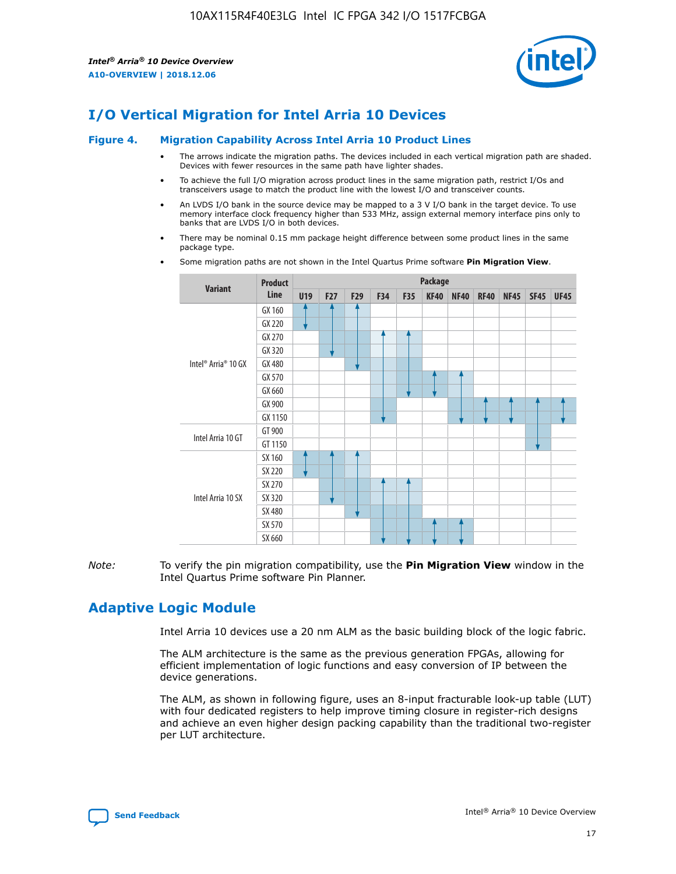

## **I/O Vertical Migration for Intel Arria 10 Devices**

#### **Figure 4. Migration Capability Across Intel Arria 10 Product Lines**

- The arrows indicate the migration paths. The devices included in each vertical migration path are shaded. Devices with fewer resources in the same path have lighter shades.
- To achieve the full I/O migration across product lines in the same migration path, restrict I/Os and transceivers usage to match the product line with the lowest I/O and transceiver counts.
- An LVDS I/O bank in the source device may be mapped to a 3 V I/O bank in the target device. To use memory interface clock frequency higher than 533 MHz, assign external memory interface pins only to banks that are LVDS I/O in both devices.
- There may be nominal 0.15 mm package height difference between some product lines in the same package type.
	- **Variant Product Line Package U19 F27 F29 F34 F35 KF40 NF40 RF40 NF45 SF45 UF45** Intel® Arria® 10 GX GX 160 GX 220 GX 270 GX 320 GX 480 GX 570 GX 660 GX 900 GX 1150 Intel Arria 10 GT GT 900 GT 1150 Intel Arria 10 SX SX 160 SX 220 SX 270 SX 320 SX 480 SX 570 SX 660
- Some migration paths are not shown in the Intel Quartus Prime software **Pin Migration View**.

*Note:* To verify the pin migration compatibility, use the **Pin Migration View** window in the Intel Quartus Prime software Pin Planner.

## **Adaptive Logic Module**

Intel Arria 10 devices use a 20 nm ALM as the basic building block of the logic fabric.

The ALM architecture is the same as the previous generation FPGAs, allowing for efficient implementation of logic functions and easy conversion of IP between the device generations.

The ALM, as shown in following figure, uses an 8-input fracturable look-up table (LUT) with four dedicated registers to help improve timing closure in register-rich designs and achieve an even higher design packing capability than the traditional two-register per LUT architecture.

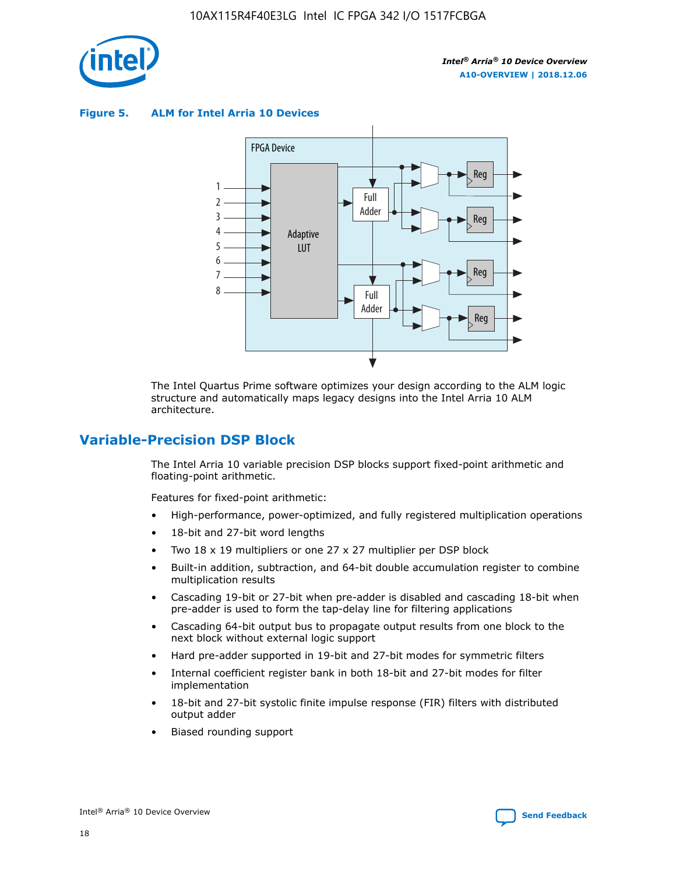

**Figure 5. ALM for Intel Arria 10 Devices**



The Intel Quartus Prime software optimizes your design according to the ALM logic structure and automatically maps legacy designs into the Intel Arria 10 ALM architecture.

## **Variable-Precision DSP Block**

The Intel Arria 10 variable precision DSP blocks support fixed-point arithmetic and floating-point arithmetic.

Features for fixed-point arithmetic:

- High-performance, power-optimized, and fully registered multiplication operations
- 18-bit and 27-bit word lengths
- Two 18 x 19 multipliers or one 27 x 27 multiplier per DSP block
- Built-in addition, subtraction, and 64-bit double accumulation register to combine multiplication results
- Cascading 19-bit or 27-bit when pre-adder is disabled and cascading 18-bit when pre-adder is used to form the tap-delay line for filtering applications
- Cascading 64-bit output bus to propagate output results from one block to the next block without external logic support
- Hard pre-adder supported in 19-bit and 27-bit modes for symmetric filters
- Internal coefficient register bank in both 18-bit and 27-bit modes for filter implementation
- 18-bit and 27-bit systolic finite impulse response (FIR) filters with distributed output adder
- Biased rounding support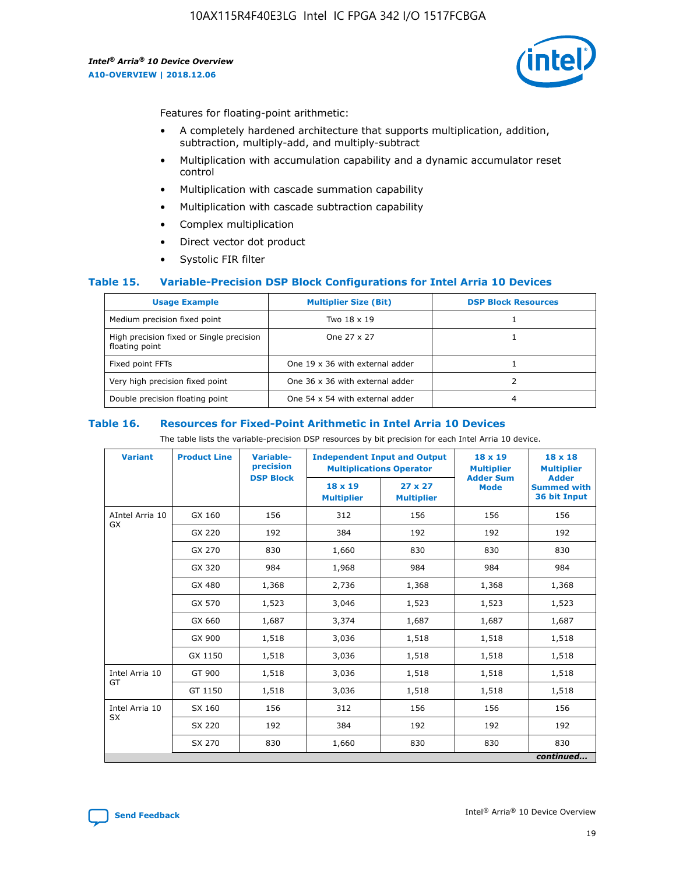

Features for floating-point arithmetic:

- A completely hardened architecture that supports multiplication, addition, subtraction, multiply-add, and multiply-subtract
- Multiplication with accumulation capability and a dynamic accumulator reset control
- Multiplication with cascade summation capability
- Multiplication with cascade subtraction capability
- Complex multiplication
- Direct vector dot product
- Systolic FIR filter

#### **Table 15. Variable-Precision DSP Block Configurations for Intel Arria 10 Devices**

| <b>Usage Example</b>                                       | <b>Multiplier Size (Bit)</b>    | <b>DSP Block Resources</b> |
|------------------------------------------------------------|---------------------------------|----------------------------|
| Medium precision fixed point                               | Two 18 x 19                     |                            |
| High precision fixed or Single precision<br>floating point | One 27 x 27                     |                            |
| Fixed point FFTs                                           | One 19 x 36 with external adder |                            |
| Very high precision fixed point                            | One 36 x 36 with external adder |                            |
| Double precision floating point                            | One 54 x 54 with external adder | 4                          |

#### **Table 16. Resources for Fixed-Point Arithmetic in Intel Arria 10 Devices**

The table lists the variable-precision DSP resources by bit precision for each Intel Arria 10 device.

| <b>Variant</b>  | <b>Product Line</b> | <b>Variable-</b><br>precision<br><b>DSP Block</b> | <b>Independent Input and Output</b><br><b>Multiplications Operator</b> |                                     | 18 x 19<br><b>Multiplier</b><br><b>Adder Sum</b> | $18 \times 18$<br><b>Multiplier</b><br><b>Adder</b> |
|-----------------|---------------------|---------------------------------------------------|------------------------------------------------------------------------|-------------------------------------|--------------------------------------------------|-----------------------------------------------------|
|                 |                     |                                                   | 18 x 19<br><b>Multiplier</b>                                           | $27 \times 27$<br><b>Multiplier</b> | <b>Mode</b>                                      | <b>Summed with</b><br>36 bit Input                  |
| AIntel Arria 10 | GX 160              | 156                                               | 312                                                                    | 156                                 | 156                                              | 156                                                 |
| GX              | GX 220              | 192                                               | 384                                                                    | 192                                 | 192                                              | 192                                                 |
|                 | GX 270              | 830                                               | 1,660                                                                  | 830                                 | 830                                              | 830                                                 |
|                 | GX 320              | 984                                               | 1,968                                                                  | 984                                 | 984                                              | 984                                                 |
|                 | GX 480              | 1,368                                             | 2,736                                                                  | 1,368                               | 1,368                                            | 1,368                                               |
|                 | GX 570              | 1,523                                             | 3,046                                                                  | 1,523                               | 1,523                                            | 1,523                                               |
|                 | GX 660              | 1,687                                             | 3,374                                                                  | 1,687                               | 1,687                                            | 1,687                                               |
|                 | GX 900              | 1,518                                             | 3,036                                                                  | 1,518                               | 1,518                                            | 1,518                                               |
|                 | GX 1150             | 1,518                                             | 3,036                                                                  | 1,518                               | 1,518                                            | 1,518                                               |
| Intel Arria 10  | GT 900              | 1,518                                             | 3,036                                                                  | 1,518                               | 1,518                                            | 1,518                                               |
| GT              | GT 1150             | 1,518                                             | 3,036                                                                  | 1,518                               | 1,518                                            | 1,518                                               |
| Intel Arria 10  | SX 160              | 156                                               | 312                                                                    | 156                                 | 156                                              | 156                                                 |
| <b>SX</b>       | SX 220              | 192                                               | 384                                                                    | 192                                 | 192                                              | 192                                                 |
|                 | SX 270              | 830                                               | 1,660                                                                  | 830                                 | 830                                              | 830                                                 |
|                 |                     |                                                   |                                                                        |                                     |                                                  | continued                                           |

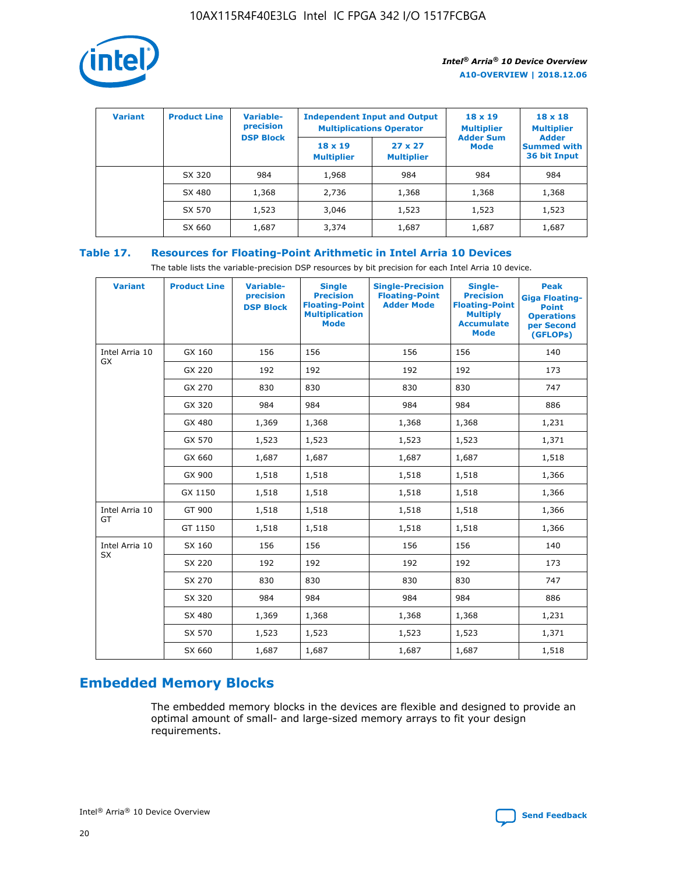

| <b>Variant</b> | <b>Product Line</b> | <b>Variable-</b><br>precision |                                     | <b>Independent Input and Output</b><br><b>Multiplications Operator</b> | $18 \times 19$<br><b>Multiplier</b> | $18 \times 18$<br><b>Multiplier</b>                |
|----------------|---------------------|-------------------------------|-------------------------------------|------------------------------------------------------------------------|-------------------------------------|----------------------------------------------------|
|                |                     | <b>DSP Block</b>              | $18 \times 19$<br><b>Multiplier</b> | $27 \times 27$<br><b>Multiplier</b>                                    | <b>Adder Sum</b><br><b>Mode</b>     | <b>Adder</b><br><b>Summed with</b><br>36 bit Input |
|                | SX 320              | 984                           | 1,968                               | 984                                                                    | 984                                 | 984                                                |
|                | SX 480              | 1,368                         | 2,736                               | 1,368                                                                  | 1,368                               | 1,368                                              |
|                | SX 570              | 1,523                         | 3,046                               | 1,523                                                                  | 1,523                               | 1,523                                              |
|                | SX 660              | 1,687                         | 3,374                               | 1,687                                                                  | 1,687                               | 1,687                                              |

## **Table 17. Resources for Floating-Point Arithmetic in Intel Arria 10 Devices**

The table lists the variable-precision DSP resources by bit precision for each Intel Arria 10 device.

| <b>Variant</b> | <b>Product Line</b> | <b>Variable-</b><br>precision<br><b>DSP Block</b> | <b>Single</b><br><b>Precision</b><br><b>Floating-Point</b><br><b>Multiplication</b><br><b>Mode</b> | <b>Single-Precision</b><br><b>Floating-Point</b><br><b>Adder Mode</b> | Single-<br><b>Precision</b><br><b>Floating-Point</b><br><b>Multiply</b><br><b>Accumulate</b><br><b>Mode</b> | <b>Peak</b><br><b>Giga Floating-</b><br><b>Point</b><br><b>Operations</b><br>per Second<br>(GFLOPs) |
|----------------|---------------------|---------------------------------------------------|----------------------------------------------------------------------------------------------------|-----------------------------------------------------------------------|-------------------------------------------------------------------------------------------------------------|-----------------------------------------------------------------------------------------------------|
| Intel Arria 10 | GX 160              | 156                                               | 156                                                                                                | 156                                                                   | 156                                                                                                         | 140                                                                                                 |
| GX             | GX 220              | 192                                               | 192                                                                                                | 192                                                                   | 192                                                                                                         | 173                                                                                                 |
|                | GX 270              | 830                                               | 830                                                                                                | 830                                                                   | 830                                                                                                         | 747                                                                                                 |
|                | GX 320              | 984                                               | 984                                                                                                | 984                                                                   | 984                                                                                                         | 886                                                                                                 |
|                | GX 480              | 1,369                                             | 1,368                                                                                              | 1,368                                                                 | 1,368                                                                                                       | 1,231                                                                                               |
|                | GX 570              | 1,523                                             | 1,523                                                                                              | 1,523                                                                 | 1,523                                                                                                       | 1,371                                                                                               |
|                | GX 660              | 1,687                                             | 1,687                                                                                              | 1,687                                                                 | 1,687                                                                                                       | 1,518                                                                                               |
|                | GX 900              | 1,518                                             | 1,518                                                                                              | 1,518                                                                 | 1,518                                                                                                       | 1,366                                                                                               |
|                | GX 1150             | 1,518                                             | 1,518                                                                                              | 1,518                                                                 | 1,518                                                                                                       | 1,366                                                                                               |
| Intel Arria 10 | GT 900              | 1,518                                             | 1,518                                                                                              | 1,518                                                                 | 1,518                                                                                                       | 1,366                                                                                               |
| GT             | GT 1150             | 1,518                                             | 1,518                                                                                              | 1,518                                                                 | 1,518                                                                                                       | 1,366                                                                                               |
| Intel Arria 10 | SX 160              | 156                                               | 156                                                                                                | 156                                                                   | 156                                                                                                         | 140                                                                                                 |
| SX             | SX 220              | 192                                               | 192                                                                                                | 192                                                                   | 192                                                                                                         | 173                                                                                                 |
|                | SX 270              | 830                                               | 830                                                                                                | 830                                                                   | 830                                                                                                         | 747                                                                                                 |
|                | SX 320              | 984                                               | 984                                                                                                | 984                                                                   | 984                                                                                                         | 886                                                                                                 |
|                | SX 480              | 1,369                                             | 1,368                                                                                              | 1,368                                                                 | 1,368                                                                                                       | 1,231                                                                                               |
|                | SX 570              | 1,523                                             | 1,523                                                                                              | 1,523                                                                 | 1,523                                                                                                       | 1,371                                                                                               |
|                | SX 660              | 1,687                                             | 1,687                                                                                              | 1,687                                                                 | 1,687                                                                                                       | 1,518                                                                                               |

# **Embedded Memory Blocks**

The embedded memory blocks in the devices are flexible and designed to provide an optimal amount of small- and large-sized memory arrays to fit your design requirements.

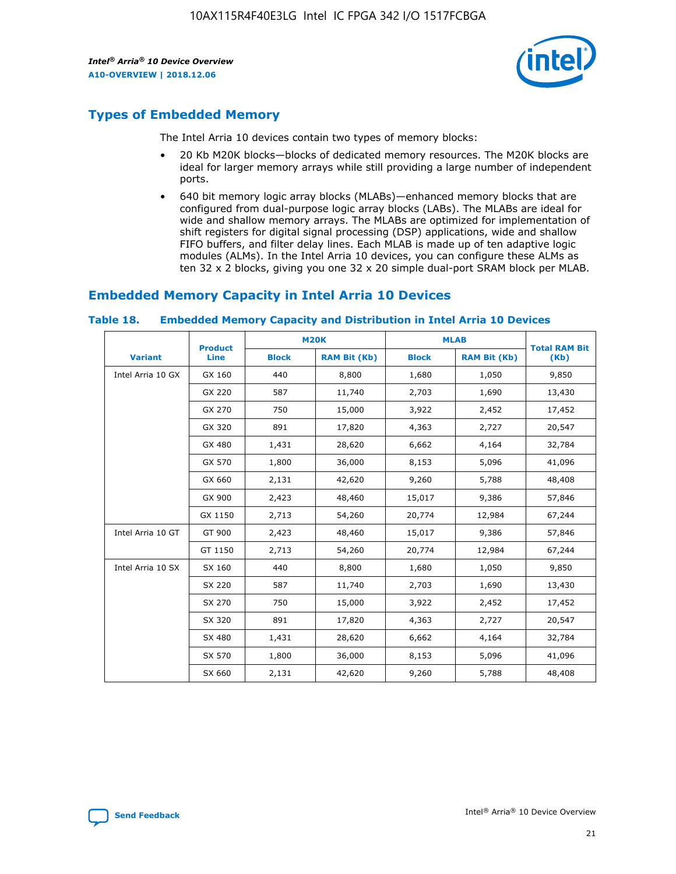

## **Types of Embedded Memory**

The Intel Arria 10 devices contain two types of memory blocks:

- 20 Kb M20K blocks—blocks of dedicated memory resources. The M20K blocks are ideal for larger memory arrays while still providing a large number of independent ports.
- 640 bit memory logic array blocks (MLABs)—enhanced memory blocks that are configured from dual-purpose logic array blocks (LABs). The MLABs are ideal for wide and shallow memory arrays. The MLABs are optimized for implementation of shift registers for digital signal processing (DSP) applications, wide and shallow FIFO buffers, and filter delay lines. Each MLAB is made up of ten adaptive logic modules (ALMs). In the Intel Arria 10 devices, you can configure these ALMs as ten 32 x 2 blocks, giving you one 32 x 20 simple dual-port SRAM block per MLAB.

## **Embedded Memory Capacity in Intel Arria 10 Devices**

|                   | <b>Product</b> | <b>M20K</b>  |                     | <b>MLAB</b>  |                     | <b>Total RAM Bit</b> |  |
|-------------------|----------------|--------------|---------------------|--------------|---------------------|----------------------|--|
| <b>Variant</b>    | <b>Line</b>    | <b>Block</b> | <b>RAM Bit (Kb)</b> | <b>Block</b> | <b>RAM Bit (Kb)</b> | (Kb)                 |  |
| Intel Arria 10 GX | GX 160         | 440          | 8,800               | 1,680        | 1,050               | 9,850                |  |
|                   | GX 220         | 587          | 11,740              | 2,703        | 1,690               | 13,430               |  |
|                   | GX 270         | 750          | 15,000              | 3,922        | 2,452               | 17,452               |  |
|                   | GX 320         | 891          | 17,820              | 4,363        | 2,727               | 20,547               |  |
|                   | GX 480         | 1,431        | 28,620              | 6,662        | 4,164               | 32,784               |  |
|                   | GX 570         | 1,800        | 36,000              | 8,153        | 5,096               | 41,096               |  |
|                   | GX 660         | 2,131        | 42,620              | 9,260        | 5,788               | 48,408               |  |
|                   | GX 900         | 2,423        | 48,460              | 15,017       | 9,386               | 57,846               |  |
|                   | GX 1150        | 2,713        | 54,260              | 20,774       | 12,984              | 67,244               |  |
| Intel Arria 10 GT | GT 900         | 2,423        | 48,460              | 15,017       | 9,386               | 57,846               |  |
|                   | GT 1150        | 2,713        | 54,260              | 20,774       | 12,984              | 67,244               |  |
| Intel Arria 10 SX | SX 160         | 440          | 8,800               | 1,680        | 1,050               | 9,850                |  |
|                   | SX 220         | 587          | 11,740              | 2,703        | 1,690               | 13,430               |  |
|                   | SX 270         | 750          | 15,000              | 3,922        | 2,452               | 17,452               |  |
|                   | SX 320         | 891          | 17,820              | 4,363        | 2,727               | 20,547               |  |
|                   | SX 480         | 1,431        | 28,620              | 6,662        | 4,164               | 32,784               |  |
|                   | SX 570         | 1,800        | 36,000              | 8,153        | 5,096               | 41,096               |  |
|                   | SX 660         | 2,131        | 42,620              | 9,260        | 5,788               | 48,408               |  |

#### **Table 18. Embedded Memory Capacity and Distribution in Intel Arria 10 Devices**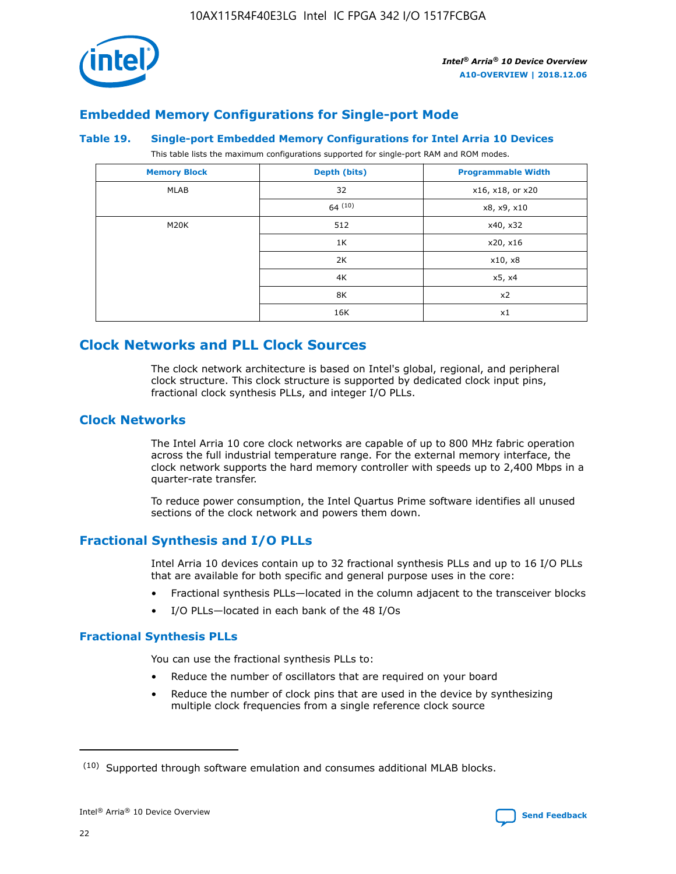

## **Embedded Memory Configurations for Single-port Mode**

#### **Table 19. Single-port Embedded Memory Configurations for Intel Arria 10 Devices**

This table lists the maximum configurations supported for single-port RAM and ROM modes.

| <b>Memory Block</b> | Depth (bits) | <b>Programmable Width</b> |
|---------------------|--------------|---------------------------|
| MLAB                | 32           | x16, x18, or x20          |
|                     | 64(10)       | x8, x9, x10               |
| M20K                | 512          | x40, x32                  |
|                     | 1K           | x20, x16                  |
|                     | 2K           | x10, x8                   |
|                     | 4K           | x5, x4                    |
|                     | 8K           | x2                        |
|                     | 16K          | x1                        |

## **Clock Networks and PLL Clock Sources**

The clock network architecture is based on Intel's global, regional, and peripheral clock structure. This clock structure is supported by dedicated clock input pins, fractional clock synthesis PLLs, and integer I/O PLLs.

## **Clock Networks**

The Intel Arria 10 core clock networks are capable of up to 800 MHz fabric operation across the full industrial temperature range. For the external memory interface, the clock network supports the hard memory controller with speeds up to 2,400 Mbps in a quarter-rate transfer.

To reduce power consumption, the Intel Quartus Prime software identifies all unused sections of the clock network and powers them down.

## **Fractional Synthesis and I/O PLLs**

Intel Arria 10 devices contain up to 32 fractional synthesis PLLs and up to 16 I/O PLLs that are available for both specific and general purpose uses in the core:

- Fractional synthesis PLLs—located in the column adjacent to the transceiver blocks
- I/O PLLs—located in each bank of the 48 I/Os

#### **Fractional Synthesis PLLs**

You can use the fractional synthesis PLLs to:

- Reduce the number of oscillators that are required on your board
- Reduce the number of clock pins that are used in the device by synthesizing multiple clock frequencies from a single reference clock source

<sup>(10)</sup> Supported through software emulation and consumes additional MLAB blocks.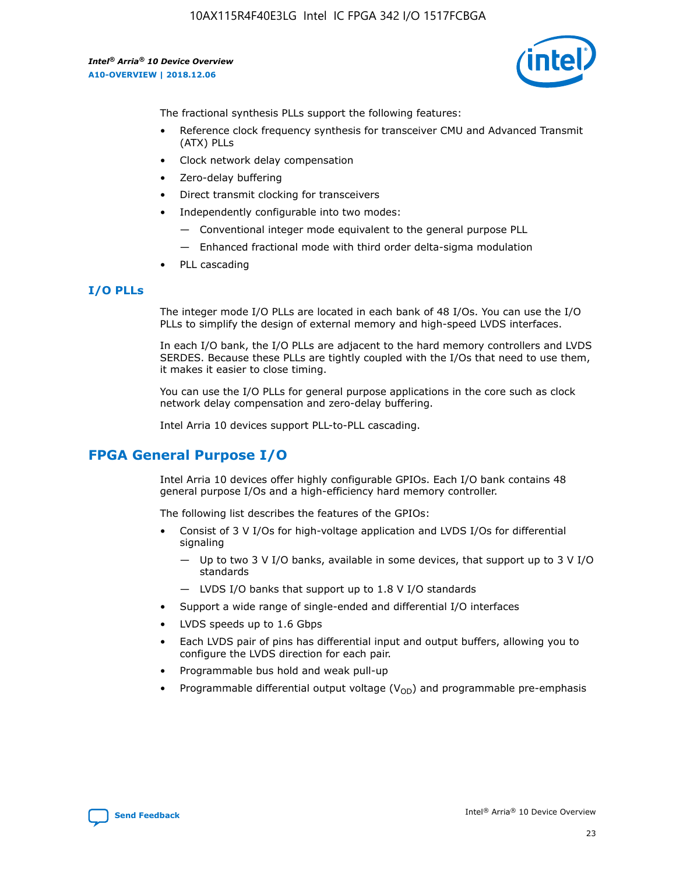

The fractional synthesis PLLs support the following features:

- Reference clock frequency synthesis for transceiver CMU and Advanced Transmit (ATX) PLLs
- Clock network delay compensation
- Zero-delay buffering
- Direct transmit clocking for transceivers
- Independently configurable into two modes:
	- Conventional integer mode equivalent to the general purpose PLL
	- Enhanced fractional mode with third order delta-sigma modulation
- PLL cascading

#### **I/O PLLs**

The integer mode I/O PLLs are located in each bank of 48 I/Os. You can use the I/O PLLs to simplify the design of external memory and high-speed LVDS interfaces.

In each I/O bank, the I/O PLLs are adjacent to the hard memory controllers and LVDS SERDES. Because these PLLs are tightly coupled with the I/Os that need to use them, it makes it easier to close timing.

You can use the I/O PLLs for general purpose applications in the core such as clock network delay compensation and zero-delay buffering.

Intel Arria 10 devices support PLL-to-PLL cascading.

## **FPGA General Purpose I/O**

Intel Arria 10 devices offer highly configurable GPIOs. Each I/O bank contains 48 general purpose I/Os and a high-efficiency hard memory controller.

The following list describes the features of the GPIOs:

- Consist of 3 V I/Os for high-voltage application and LVDS I/Os for differential signaling
	- Up to two 3 V I/O banks, available in some devices, that support up to 3 V I/O standards
	- LVDS I/O banks that support up to 1.8 V I/O standards
- Support a wide range of single-ended and differential I/O interfaces
- LVDS speeds up to 1.6 Gbps
- Each LVDS pair of pins has differential input and output buffers, allowing you to configure the LVDS direction for each pair.
- Programmable bus hold and weak pull-up
- Programmable differential output voltage  $(V_{OD})$  and programmable pre-emphasis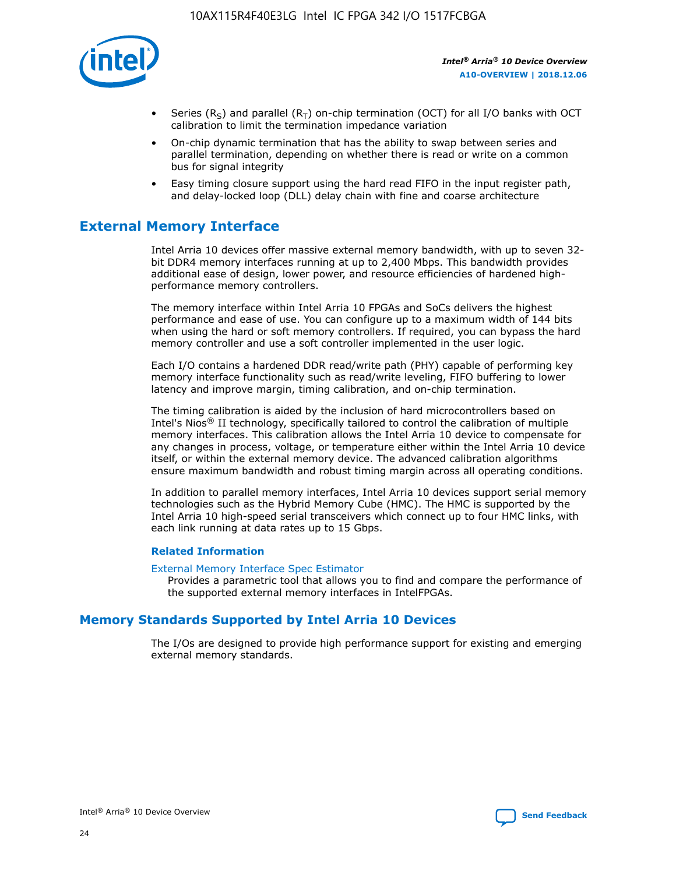

- Series (R<sub>S</sub>) and parallel (R<sub>T</sub>) on-chip termination (OCT) for all I/O banks with OCT calibration to limit the termination impedance variation
- On-chip dynamic termination that has the ability to swap between series and parallel termination, depending on whether there is read or write on a common bus for signal integrity
- Easy timing closure support using the hard read FIFO in the input register path, and delay-locked loop (DLL) delay chain with fine and coarse architecture

## **External Memory Interface**

Intel Arria 10 devices offer massive external memory bandwidth, with up to seven 32 bit DDR4 memory interfaces running at up to 2,400 Mbps. This bandwidth provides additional ease of design, lower power, and resource efficiencies of hardened highperformance memory controllers.

The memory interface within Intel Arria 10 FPGAs and SoCs delivers the highest performance and ease of use. You can configure up to a maximum width of 144 bits when using the hard or soft memory controllers. If required, you can bypass the hard memory controller and use a soft controller implemented in the user logic.

Each I/O contains a hardened DDR read/write path (PHY) capable of performing key memory interface functionality such as read/write leveling, FIFO buffering to lower latency and improve margin, timing calibration, and on-chip termination.

The timing calibration is aided by the inclusion of hard microcontrollers based on Intel's Nios® II technology, specifically tailored to control the calibration of multiple memory interfaces. This calibration allows the Intel Arria 10 device to compensate for any changes in process, voltage, or temperature either within the Intel Arria 10 device itself, or within the external memory device. The advanced calibration algorithms ensure maximum bandwidth and robust timing margin across all operating conditions.

In addition to parallel memory interfaces, Intel Arria 10 devices support serial memory technologies such as the Hybrid Memory Cube (HMC). The HMC is supported by the Intel Arria 10 high-speed serial transceivers which connect up to four HMC links, with each link running at data rates up to 15 Gbps.

#### **Related Information**

#### [External Memory Interface Spec Estimator](http://www.altera.com/technology/memory/estimator/mem-emif-index.html)

Provides a parametric tool that allows you to find and compare the performance of the supported external memory interfaces in IntelFPGAs.

## **Memory Standards Supported by Intel Arria 10 Devices**

The I/Os are designed to provide high performance support for existing and emerging external memory standards.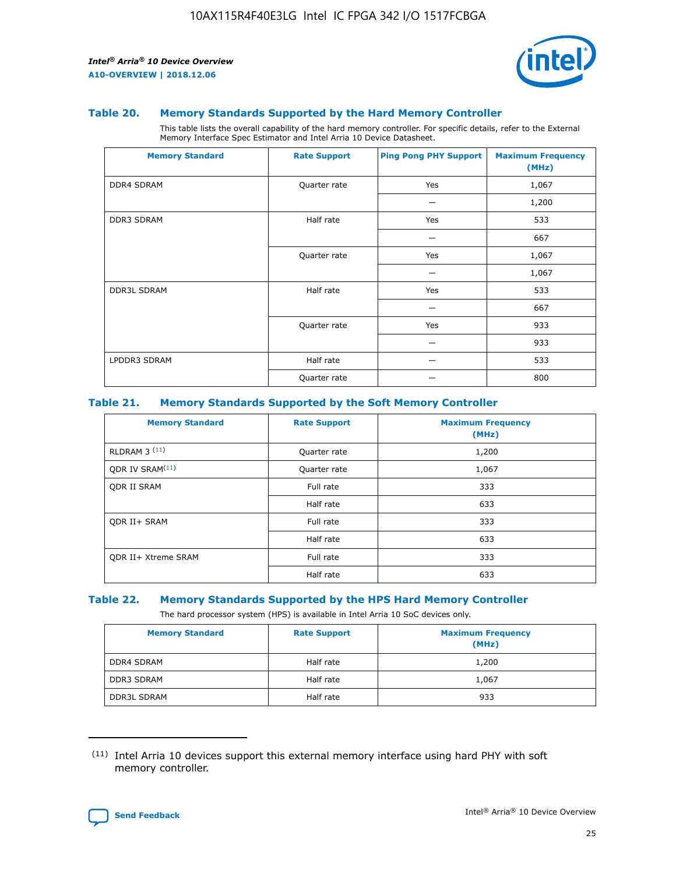

#### **Table 20. Memory Standards Supported by the Hard Memory Controller**

This table lists the overall capability of the hard memory controller. For specific details, refer to the External Memory Interface Spec Estimator and Intel Arria 10 Device Datasheet.

| <b>Memory Standard</b> | <b>Rate Support</b> | <b>Ping Pong PHY Support</b> | <b>Maximum Frequency</b><br>(MHz) |
|------------------------|---------------------|------------------------------|-----------------------------------|
| <b>DDR4 SDRAM</b>      | Quarter rate        | Yes                          | 1,067                             |
|                        |                     |                              | 1,200                             |
| <b>DDR3 SDRAM</b>      | Half rate           | Yes                          | 533                               |
|                        |                     |                              | 667                               |
|                        | Quarter rate        | Yes                          | 1,067                             |
|                        |                     |                              | 1,067                             |
| <b>DDR3L SDRAM</b>     | Half rate           | Yes                          | 533                               |
|                        |                     |                              | 667                               |
|                        | Quarter rate        | Yes                          | 933                               |
|                        |                     |                              | 933                               |
| LPDDR3 SDRAM           | Half rate           |                              | 533                               |
|                        | Quarter rate        |                              | 800                               |

#### **Table 21. Memory Standards Supported by the Soft Memory Controller**

| <b>Memory Standard</b>      | <b>Rate Support</b> | <b>Maximum Frequency</b><br>(MHz) |
|-----------------------------|---------------------|-----------------------------------|
| <b>RLDRAM 3 (11)</b>        | Quarter rate        | 1,200                             |
| ODR IV SRAM <sup>(11)</sup> | Quarter rate        | 1,067                             |
| <b>ODR II SRAM</b>          | Full rate           | 333                               |
|                             | Half rate           | 633                               |
| <b>ODR II+ SRAM</b>         | Full rate           | 333                               |
|                             | Half rate           | 633                               |
| <b>ODR II+ Xtreme SRAM</b>  | Full rate           | 333                               |
|                             | Half rate           | 633                               |

#### **Table 22. Memory Standards Supported by the HPS Hard Memory Controller**

The hard processor system (HPS) is available in Intel Arria 10 SoC devices only.

| <b>Memory Standard</b> | <b>Rate Support</b> | <b>Maximum Frequency</b><br>(MHz) |
|------------------------|---------------------|-----------------------------------|
| <b>DDR4 SDRAM</b>      | Half rate           | 1,200                             |
| <b>DDR3 SDRAM</b>      | Half rate           | 1,067                             |
| <b>DDR3L SDRAM</b>     | Half rate           | 933                               |

<sup>(11)</sup> Intel Arria 10 devices support this external memory interface using hard PHY with soft memory controller.

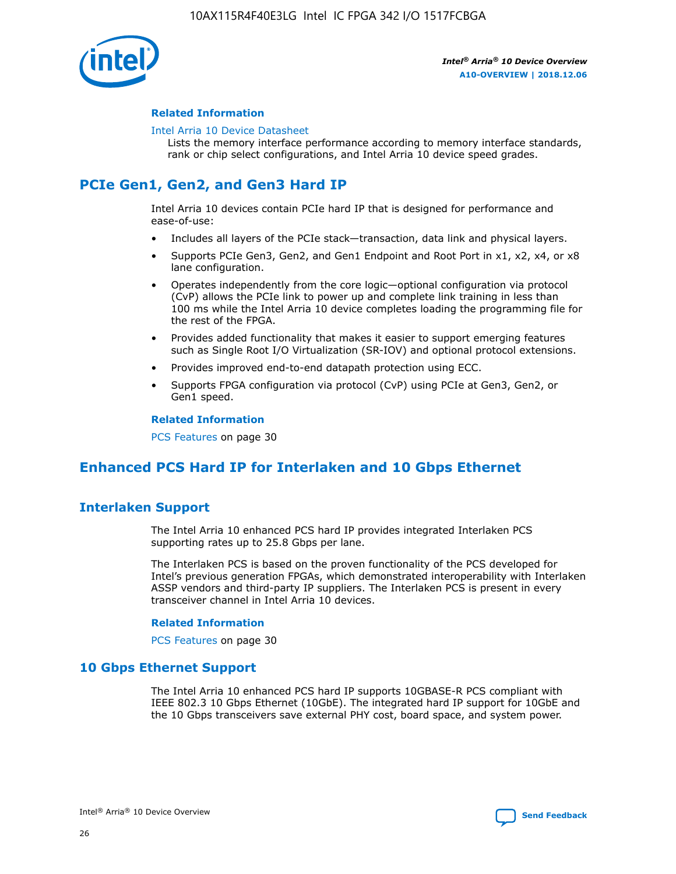

#### **Related Information**

#### [Intel Arria 10 Device Datasheet](https://www.intel.com/content/www/us/en/programmable/documentation/mcn1413182292568.html#mcn1413182153340)

Lists the memory interface performance according to memory interface standards, rank or chip select configurations, and Intel Arria 10 device speed grades.

## **PCIe Gen1, Gen2, and Gen3 Hard IP**

Intel Arria 10 devices contain PCIe hard IP that is designed for performance and ease-of-use:

- Includes all layers of the PCIe stack—transaction, data link and physical layers.
- Supports PCIe Gen3, Gen2, and Gen1 Endpoint and Root Port in x1, x2, x4, or x8 lane configuration.
- Operates independently from the core logic—optional configuration via protocol (CvP) allows the PCIe link to power up and complete link training in less than 100 ms while the Intel Arria 10 device completes loading the programming file for the rest of the FPGA.
- Provides added functionality that makes it easier to support emerging features such as Single Root I/O Virtualization (SR-IOV) and optional protocol extensions.
- Provides improved end-to-end datapath protection using ECC.
- Supports FPGA configuration via protocol (CvP) using PCIe at Gen3, Gen2, or Gen1 speed.

#### **Related Information**

PCS Features on page 30

## **Enhanced PCS Hard IP for Interlaken and 10 Gbps Ethernet**

## **Interlaken Support**

The Intel Arria 10 enhanced PCS hard IP provides integrated Interlaken PCS supporting rates up to 25.8 Gbps per lane.

The Interlaken PCS is based on the proven functionality of the PCS developed for Intel's previous generation FPGAs, which demonstrated interoperability with Interlaken ASSP vendors and third-party IP suppliers. The Interlaken PCS is present in every transceiver channel in Intel Arria 10 devices.

#### **Related Information**

PCS Features on page 30

## **10 Gbps Ethernet Support**

The Intel Arria 10 enhanced PCS hard IP supports 10GBASE-R PCS compliant with IEEE 802.3 10 Gbps Ethernet (10GbE). The integrated hard IP support for 10GbE and the 10 Gbps transceivers save external PHY cost, board space, and system power.

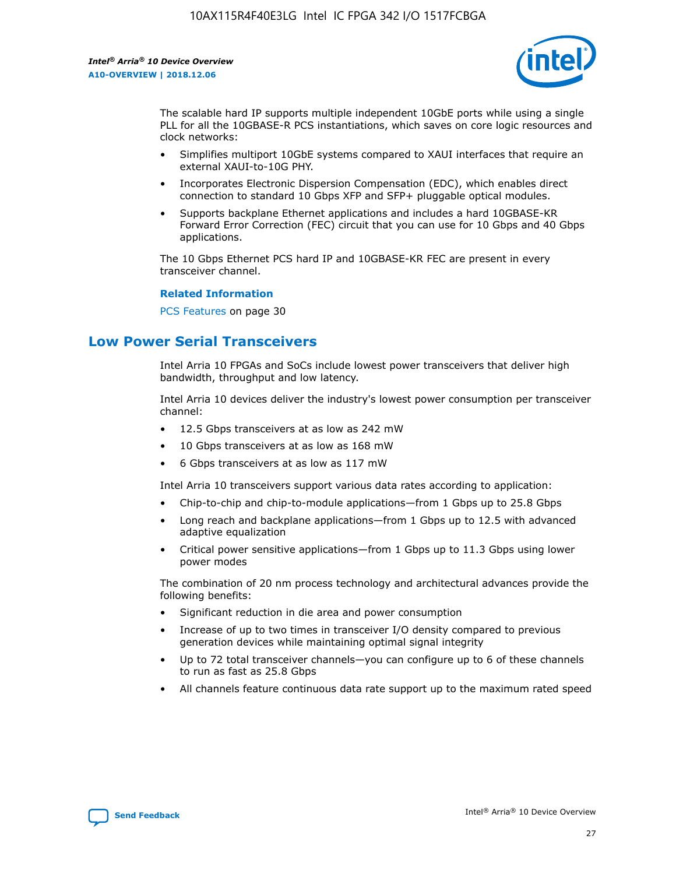

The scalable hard IP supports multiple independent 10GbE ports while using a single PLL for all the 10GBASE-R PCS instantiations, which saves on core logic resources and clock networks:

- Simplifies multiport 10GbE systems compared to XAUI interfaces that require an external XAUI-to-10G PHY.
- Incorporates Electronic Dispersion Compensation (EDC), which enables direct connection to standard 10 Gbps XFP and SFP+ pluggable optical modules.
- Supports backplane Ethernet applications and includes a hard 10GBASE-KR Forward Error Correction (FEC) circuit that you can use for 10 Gbps and 40 Gbps applications.

The 10 Gbps Ethernet PCS hard IP and 10GBASE-KR FEC are present in every transceiver channel.

#### **Related Information**

PCS Features on page 30

## **Low Power Serial Transceivers**

Intel Arria 10 FPGAs and SoCs include lowest power transceivers that deliver high bandwidth, throughput and low latency.

Intel Arria 10 devices deliver the industry's lowest power consumption per transceiver channel:

- 12.5 Gbps transceivers at as low as 242 mW
- 10 Gbps transceivers at as low as 168 mW
- 6 Gbps transceivers at as low as 117 mW

Intel Arria 10 transceivers support various data rates according to application:

- Chip-to-chip and chip-to-module applications—from 1 Gbps up to 25.8 Gbps
- Long reach and backplane applications—from 1 Gbps up to 12.5 with advanced adaptive equalization
- Critical power sensitive applications—from 1 Gbps up to 11.3 Gbps using lower power modes

The combination of 20 nm process technology and architectural advances provide the following benefits:

- Significant reduction in die area and power consumption
- Increase of up to two times in transceiver I/O density compared to previous generation devices while maintaining optimal signal integrity
- Up to 72 total transceiver channels—you can configure up to 6 of these channels to run as fast as 25.8 Gbps
- All channels feature continuous data rate support up to the maximum rated speed

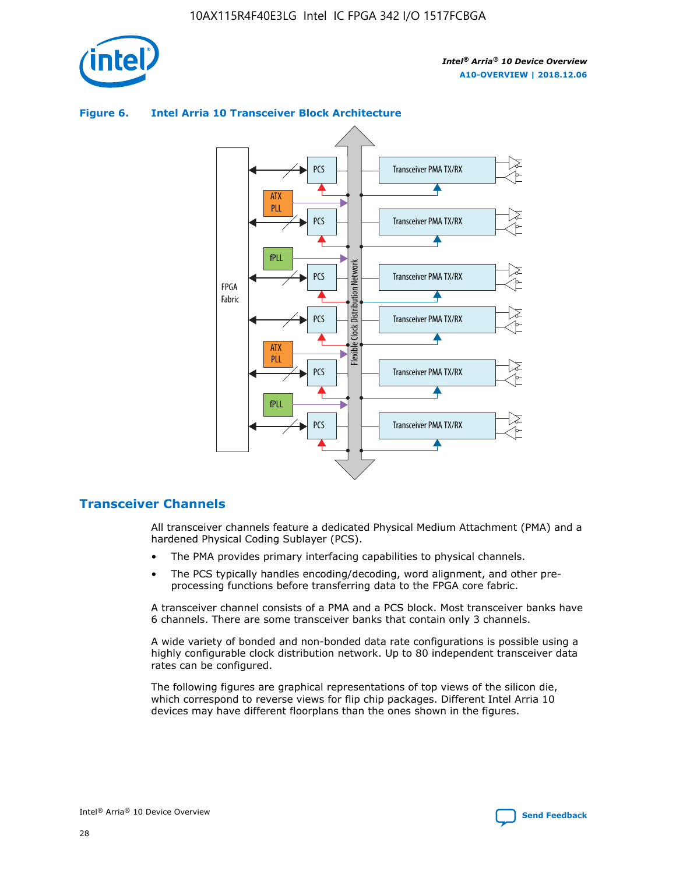

## Transceiver PMA TX/RX PCS ATX PLL Transceiver PMA TX/RX PCS fPLL Network Flexible Clock Distribution Network PCS Transceiver PMA TX/RX FPGA **Clock Distribution** Fabric PCS Transceiver PMA TX/RX ATX Flexible PLL PCS Transceiver PMA TX/RX ▲ fPLL Transceiver PMA TX/RX PCS 4

## **Figure 6. Intel Arria 10 Transceiver Block Architecture**

## **Transceiver Channels**

All transceiver channels feature a dedicated Physical Medium Attachment (PMA) and a hardened Physical Coding Sublayer (PCS).

- The PMA provides primary interfacing capabilities to physical channels.
- The PCS typically handles encoding/decoding, word alignment, and other preprocessing functions before transferring data to the FPGA core fabric.

A transceiver channel consists of a PMA and a PCS block. Most transceiver banks have 6 channels. There are some transceiver banks that contain only 3 channels.

A wide variety of bonded and non-bonded data rate configurations is possible using a highly configurable clock distribution network. Up to 80 independent transceiver data rates can be configured.

The following figures are graphical representations of top views of the silicon die, which correspond to reverse views for flip chip packages. Different Intel Arria 10 devices may have different floorplans than the ones shown in the figures.

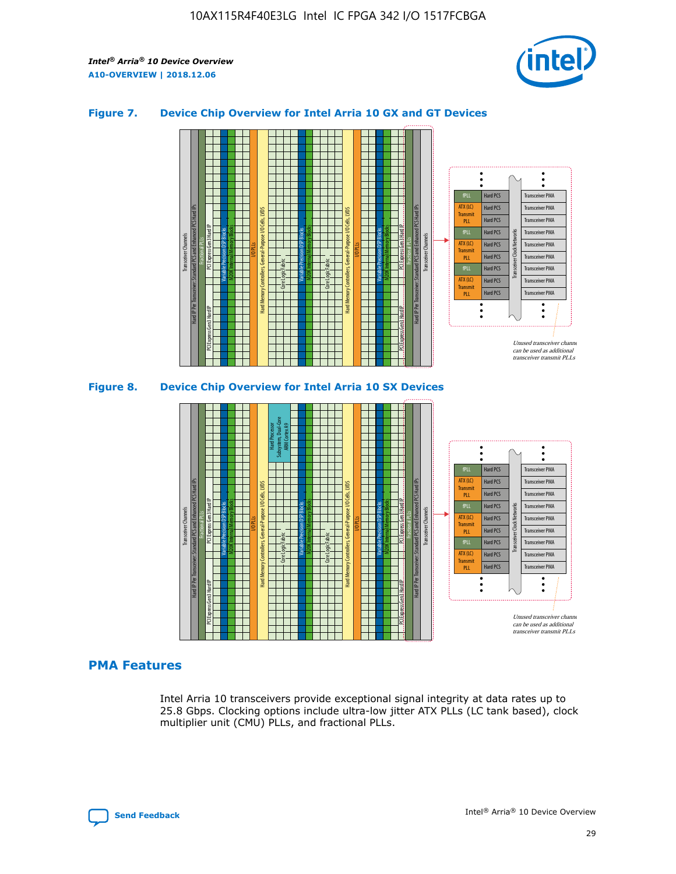

## **Figure 7. Device Chip Overview for Intel Arria 10 GX and GT Devices**



M20K Internal Memory Blocks Core Logic Fabric Transceiver Channels Hard IP Per Transceiver: Standard PCS and Enhanced PCS Hard IPs PCI Express Gen3 Hard IP Fractional PLLs M20K Internal Memory Blocks PCI Express Gen3 Hard IP Variable Precision DSP Blocks I/O PLLs Hard Memory Controllers, General-Purpose I/O Cells, LVDS Hard Processor Subsystem, Dual-Core ARM Cortex A9 M20K Internal Memory Blocks Variable Precision DSP Blocks M20K Internal Memory Blocks Core Logic Fabric I/O PLLs Hard Memory Controllers, General-Purpose I/O Cells, LVDS M20K Internal Memory Blocks Variable Precision DSP Blocks M20K Internal Memory Blocks Transceiver Channels Hard IP Per Transceiver: Standard PCS and Enhanced PCS Hard IPs PCI Express Gen3 Hard IP Fractional PLLs PCI Express Gen3 Hard IP Hard PCS Hard PCS Hard PCS Hard PCS Hard PCS Hard PCS Hard PCS Hard PCS Transceiver PMA Transceiver PMA Transceiver PMA Transceiver PMA Transceiver PMA Transceiver PMA Unused transceiver chann can be used as additional transceiver transmit PLLs Transceiver PMA Transceiver PMA Transceiver Clock Networks ATX (LC) **Transmit** PLL fPLL ATX (LC) Transmi PLL fPLL ATX (LC) **Transmit** PLL

## **PMA Features**

Intel Arria 10 transceivers provide exceptional signal integrity at data rates up to 25.8 Gbps. Clocking options include ultra-low jitter ATX PLLs (LC tank based), clock multiplier unit (CMU) PLLs, and fractional PLLs.

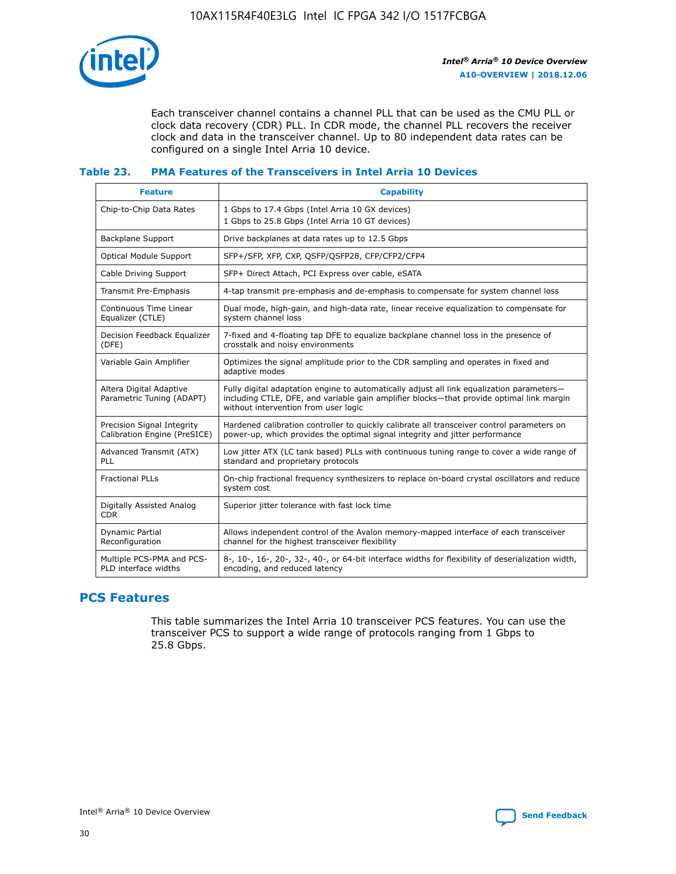

Each transceiver channel contains a channel PLL that can be used as the CMU PLL or clock data recovery (CDR) PLL. In CDR mode, the channel PLL recovers the receiver clock and data in the transceiver channel. Up to 80 independent data rates can be configured on a single Intel Arria 10 device.

## **Table 23. PMA Features of the Transceivers in Intel Arria 10 Devices**

| <b>Feature</b>                                             | <b>Capability</b>                                                                                                                                                                                                             |
|------------------------------------------------------------|-------------------------------------------------------------------------------------------------------------------------------------------------------------------------------------------------------------------------------|
| Chip-to-Chip Data Rates                                    | 1 Gbps to 17.4 Gbps (Intel Arria 10 GX devices)<br>1 Gbps to 25.8 Gbps (Intel Arria 10 GT devices)                                                                                                                            |
| Backplane Support                                          | Drive backplanes at data rates up to 12.5 Gbps                                                                                                                                                                                |
| <b>Optical Module Support</b>                              | SFP+/SFP, XFP, CXP, QSFP/QSFP28, CFP/CFP2/CFP4                                                                                                                                                                                |
| Cable Driving Support                                      | SFP+ Direct Attach, PCI Express over cable, eSATA                                                                                                                                                                             |
| Transmit Pre-Emphasis                                      | 4-tap transmit pre-emphasis and de-emphasis to compensate for system channel loss                                                                                                                                             |
| Continuous Time Linear<br>Equalizer (CTLE)                 | Dual mode, high-gain, and high-data rate, linear receive equalization to compensate for<br>system channel loss                                                                                                                |
| Decision Feedback Equalizer<br>(DFE)                       | 7-fixed and 4-floating tap DFE to equalize backplane channel loss in the presence of<br>crosstalk and noisy environments                                                                                                      |
| Variable Gain Amplifier                                    | Optimizes the signal amplitude prior to the CDR sampling and operates in fixed and<br>adaptive modes                                                                                                                          |
| Altera Digital Adaptive<br>Parametric Tuning (ADAPT)       | Fully digital adaptation engine to automatically adjust all link equalization parameters-<br>including CTLE, DFE, and variable gain amplifier blocks—that provide optimal link margin<br>without intervention from user logic |
| Precision Signal Integrity<br>Calibration Engine (PreSICE) | Hardened calibration controller to quickly calibrate all transceiver control parameters on<br>power-up, which provides the optimal signal integrity and jitter performance                                                    |
| Advanced Transmit (ATX)<br>PLL                             | Low jitter ATX (LC tank based) PLLs with continuous tuning range to cover a wide range of<br>standard and proprietary protocols                                                                                               |
| <b>Fractional PLLs</b>                                     | On-chip fractional frequency synthesizers to replace on-board crystal oscillators and reduce<br>system cost                                                                                                                   |
| Digitally Assisted Analog<br><b>CDR</b>                    | Superior jitter tolerance with fast lock time                                                                                                                                                                                 |
| Dynamic Partial<br>Reconfiguration                         | Allows independent control of the Avalon memory-mapped interface of each transceiver<br>channel for the highest transceiver flexibility                                                                                       |
| Multiple PCS-PMA and PCS-<br>PLD interface widths          | 8-, 10-, 16-, 20-, 32-, 40-, or 64-bit interface widths for flexibility of deserialization width,<br>encoding, and reduced latency                                                                                            |

## **PCS Features**

This table summarizes the Intel Arria 10 transceiver PCS features. You can use the transceiver PCS to support a wide range of protocols ranging from 1 Gbps to 25.8 Gbps.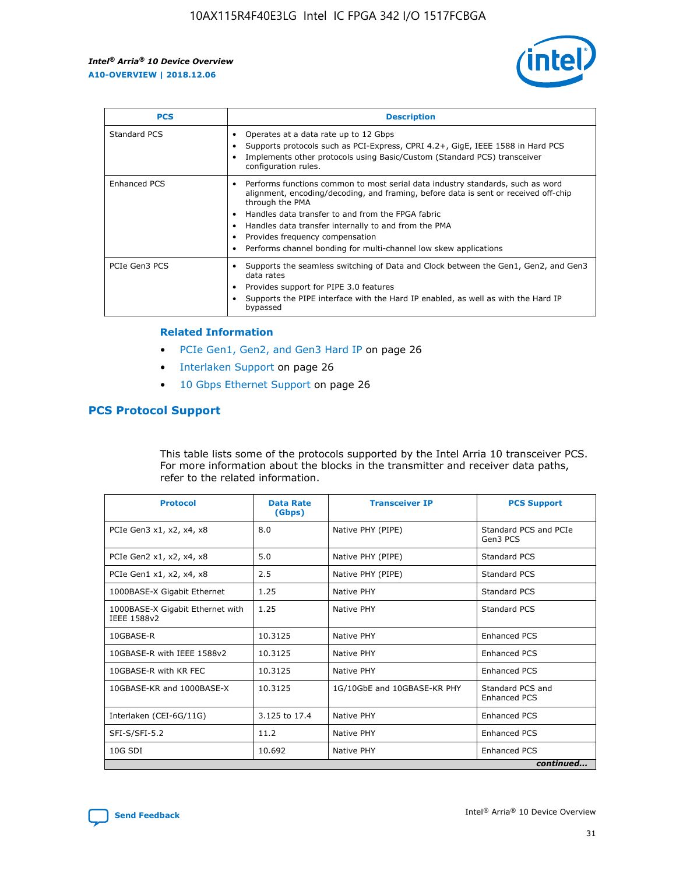

| <b>PCS</b>    | <b>Description</b>                                                                                                                                                                                                                                                                                                                                                                                             |
|---------------|----------------------------------------------------------------------------------------------------------------------------------------------------------------------------------------------------------------------------------------------------------------------------------------------------------------------------------------------------------------------------------------------------------------|
| Standard PCS  | Operates at a data rate up to 12 Gbps<br>Supports protocols such as PCI-Express, CPRI 4.2+, GigE, IEEE 1588 in Hard PCS<br>Implements other protocols using Basic/Custom (Standard PCS) transceiver<br>configuration rules.                                                                                                                                                                                    |
| Enhanced PCS  | Performs functions common to most serial data industry standards, such as word<br>alignment, encoding/decoding, and framing, before data is sent or received off-chip<br>through the PMA<br>• Handles data transfer to and from the FPGA fabric<br>Handles data transfer internally to and from the PMA<br>Provides frequency compensation<br>Performs channel bonding for multi-channel low skew applications |
| PCIe Gen3 PCS | Supports the seamless switching of Data and Clock between the Gen1, Gen2, and Gen3<br>data rates<br>Provides support for PIPE 3.0 features<br>Supports the PIPE interface with the Hard IP enabled, as well as with the Hard IP<br>bypassed                                                                                                                                                                    |

#### **Related Information**

- PCIe Gen1, Gen2, and Gen3 Hard IP on page 26
- Interlaken Support on page 26
- 10 Gbps Ethernet Support on page 26

## **PCS Protocol Support**

This table lists some of the protocols supported by the Intel Arria 10 transceiver PCS. For more information about the blocks in the transmitter and receiver data paths, refer to the related information.

| <b>Protocol</b>                                 | <b>Data Rate</b><br>(Gbps) | <b>Transceiver IP</b>       | <b>PCS Support</b>                      |
|-------------------------------------------------|----------------------------|-----------------------------|-----------------------------------------|
| PCIe Gen3 x1, x2, x4, x8                        | 8.0                        | Native PHY (PIPE)           | Standard PCS and PCIe<br>Gen3 PCS       |
| PCIe Gen2 x1, x2, x4, x8                        | 5.0                        | Native PHY (PIPE)           | <b>Standard PCS</b>                     |
| PCIe Gen1 x1, x2, x4, x8                        | 2.5                        | Native PHY (PIPE)           | Standard PCS                            |
| 1000BASE-X Gigabit Ethernet                     | 1.25                       | Native PHY                  | <b>Standard PCS</b>                     |
| 1000BASE-X Gigabit Ethernet with<br>IEEE 1588v2 | 1.25                       | Native PHY                  | Standard PCS                            |
| 10GBASE-R                                       | 10.3125                    | Native PHY                  | <b>Enhanced PCS</b>                     |
| 10GBASE-R with IEEE 1588v2                      | 10.3125                    | Native PHY                  | <b>Enhanced PCS</b>                     |
| 10GBASE-R with KR FEC                           | 10.3125                    | Native PHY                  | <b>Enhanced PCS</b>                     |
| 10GBASE-KR and 1000BASE-X                       | 10.3125                    | 1G/10GbE and 10GBASE-KR PHY | Standard PCS and<br><b>Enhanced PCS</b> |
| Interlaken (CEI-6G/11G)                         | 3.125 to 17.4              | Native PHY                  | <b>Enhanced PCS</b>                     |
| SFI-S/SFI-5.2                                   | 11.2                       | Native PHY                  | <b>Enhanced PCS</b>                     |
| $10G$ SDI                                       | 10.692                     | Native PHY                  | <b>Enhanced PCS</b>                     |
|                                                 |                            |                             | continued                               |

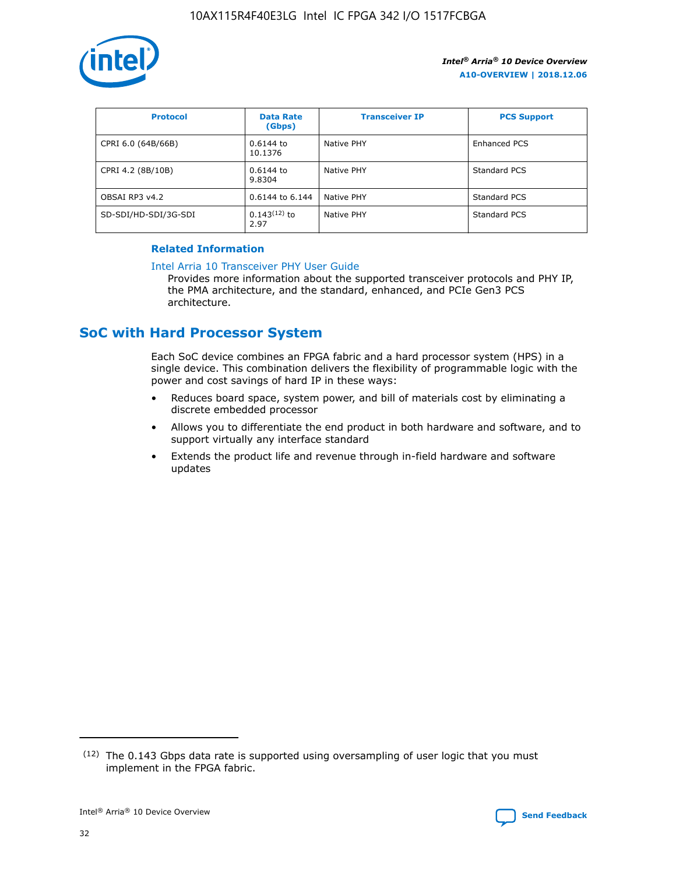

| <b>Protocol</b>      | <b>Data Rate</b><br>(Gbps) | <b>Transceiver IP</b> | <b>PCS Support</b> |
|----------------------|----------------------------|-----------------------|--------------------|
| CPRI 6.0 (64B/66B)   | 0.6144 to<br>10.1376       | Native PHY            | Enhanced PCS       |
| CPRI 4.2 (8B/10B)    | 0.6144 to<br>9.8304        | Native PHY            | Standard PCS       |
| OBSAI RP3 v4.2       | 0.6144 to 6.144            | Native PHY            | Standard PCS       |
| SD-SDI/HD-SDI/3G-SDI | $0.143(12)$ to<br>2.97     | Native PHY            | Standard PCS       |

## **Related Information**

#### [Intel Arria 10 Transceiver PHY User Guide](https://www.intel.com/content/www/us/en/programmable/documentation/nik1398707230472.html#nik1398707091164)

Provides more information about the supported transceiver protocols and PHY IP, the PMA architecture, and the standard, enhanced, and PCIe Gen3 PCS architecture.

## **SoC with Hard Processor System**

Each SoC device combines an FPGA fabric and a hard processor system (HPS) in a single device. This combination delivers the flexibility of programmable logic with the power and cost savings of hard IP in these ways:

- Reduces board space, system power, and bill of materials cost by eliminating a discrete embedded processor
- Allows you to differentiate the end product in both hardware and software, and to support virtually any interface standard
- Extends the product life and revenue through in-field hardware and software updates

<sup>(12)</sup> The 0.143 Gbps data rate is supported using oversampling of user logic that you must implement in the FPGA fabric.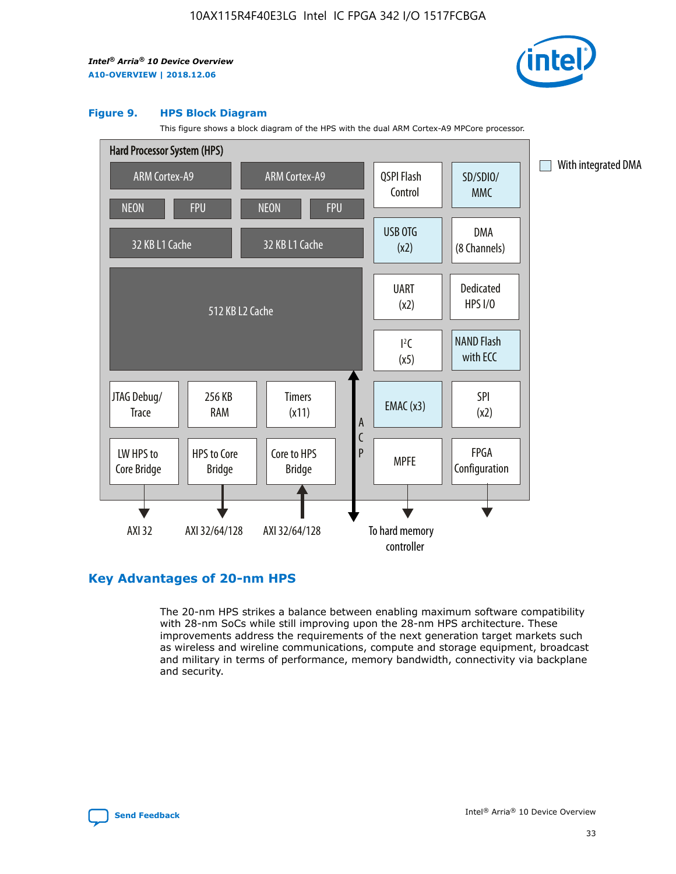

#### **Figure 9. HPS Block Diagram**

This figure shows a block diagram of the HPS with the dual ARM Cortex-A9 MPCore processor.



## **Key Advantages of 20-nm HPS**

The 20-nm HPS strikes a balance between enabling maximum software compatibility with 28-nm SoCs while still improving upon the 28-nm HPS architecture. These improvements address the requirements of the next generation target markets such as wireless and wireline communications, compute and storage equipment, broadcast and military in terms of performance, memory bandwidth, connectivity via backplane and security.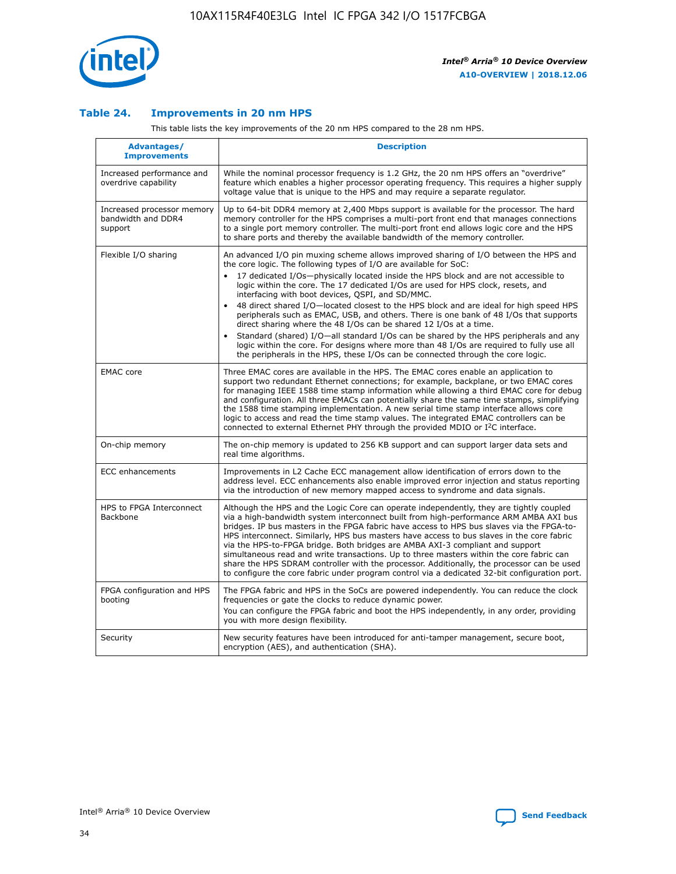

## **Table 24. Improvements in 20 nm HPS**

This table lists the key improvements of the 20 nm HPS compared to the 28 nm HPS.

| Advantages/<br><b>Improvements</b>                          | <b>Description</b>                                                                                                                                                                                                                                                                                                                                                                                                                                                                                                                                                                                                                                                                                                                                                                                                                   |
|-------------------------------------------------------------|--------------------------------------------------------------------------------------------------------------------------------------------------------------------------------------------------------------------------------------------------------------------------------------------------------------------------------------------------------------------------------------------------------------------------------------------------------------------------------------------------------------------------------------------------------------------------------------------------------------------------------------------------------------------------------------------------------------------------------------------------------------------------------------------------------------------------------------|
| Increased performance and<br>overdrive capability           | While the nominal processor frequency is 1.2 GHz, the 20 nm HPS offers an "overdrive"<br>feature which enables a higher processor operating frequency. This requires a higher supply<br>voltage value that is unique to the HPS and may require a separate regulator.                                                                                                                                                                                                                                                                                                                                                                                                                                                                                                                                                                |
| Increased processor memory<br>bandwidth and DDR4<br>support | Up to 64-bit DDR4 memory at 2,400 Mbps support is available for the processor. The hard<br>memory controller for the HPS comprises a multi-port front end that manages connections<br>to a single port memory controller. The multi-port front end allows logic core and the HPS<br>to share ports and thereby the available bandwidth of the memory controller.                                                                                                                                                                                                                                                                                                                                                                                                                                                                     |
| Flexible I/O sharing                                        | An advanced I/O pin muxing scheme allows improved sharing of I/O between the HPS and<br>the core logic. The following types of I/O are available for SoC:<br>17 dedicated I/Os-physically located inside the HPS block and are not accessible to<br>logic within the core. The 17 dedicated I/Os are used for HPS clock, resets, and<br>interfacing with boot devices, QSPI, and SD/MMC.<br>48 direct shared I/O-located closest to the HPS block and are ideal for high speed HPS<br>peripherals such as EMAC, USB, and others. There is one bank of 48 I/Os that supports<br>direct sharing where the 48 I/Os can be shared 12 I/Os at a time.<br>Standard (shared) I/O-all standard I/Os can be shared by the HPS peripherals and any<br>logic within the core. For designs where more than 48 I/Os are reguired to fully use all |
| <b>EMAC</b> core                                            | the peripherals in the HPS, these I/Os can be connected through the core logic.<br>Three EMAC cores are available in the HPS. The EMAC cores enable an application to<br>support two redundant Ethernet connections; for example, backplane, or two EMAC cores<br>for managing IEEE 1588 time stamp information while allowing a third EMAC core for debug<br>and configuration. All three EMACs can potentially share the same time stamps, simplifying<br>the 1588 time stamping implementation. A new serial time stamp interface allows core<br>logic to access and read the time stamp values. The integrated EMAC controllers can be<br>connected to external Ethernet PHY through the provided MDIO or I <sup>2</sup> C interface.                                                                                            |
| On-chip memory                                              | The on-chip memory is updated to 256 KB support and can support larger data sets and<br>real time algorithms.                                                                                                                                                                                                                                                                                                                                                                                                                                                                                                                                                                                                                                                                                                                        |
| <b>ECC</b> enhancements                                     | Improvements in L2 Cache ECC management allow identification of errors down to the<br>address level. ECC enhancements also enable improved error injection and status reporting<br>via the introduction of new memory mapped access to syndrome and data signals.                                                                                                                                                                                                                                                                                                                                                                                                                                                                                                                                                                    |
| HPS to FPGA Interconnect<br>Backbone                        | Although the HPS and the Logic Core can operate independently, they are tightly coupled<br>via a high-bandwidth system interconnect built from high-performance ARM AMBA AXI bus<br>bridges. IP bus masters in the FPGA fabric have access to HPS bus slaves via the FPGA-to-<br>HPS interconnect. Similarly, HPS bus masters have access to bus slaves in the core fabric<br>via the HPS-to-FPGA bridge. Both bridges are AMBA AXI-3 compliant and support<br>simultaneous read and write transactions. Up to three masters within the core fabric can<br>share the HPS SDRAM controller with the processor. Additionally, the processor can be used<br>to configure the core fabric under program control via a dedicated 32-bit configuration port.                                                                               |
| FPGA configuration and HPS<br>booting                       | The FPGA fabric and HPS in the SoCs are powered independently. You can reduce the clock<br>frequencies or gate the clocks to reduce dynamic power.<br>You can configure the FPGA fabric and boot the HPS independently, in any order, providing<br>you with more design flexibility.                                                                                                                                                                                                                                                                                                                                                                                                                                                                                                                                                 |
| Security                                                    | New security features have been introduced for anti-tamper management, secure boot,<br>encryption (AES), and authentication (SHA).                                                                                                                                                                                                                                                                                                                                                                                                                                                                                                                                                                                                                                                                                                   |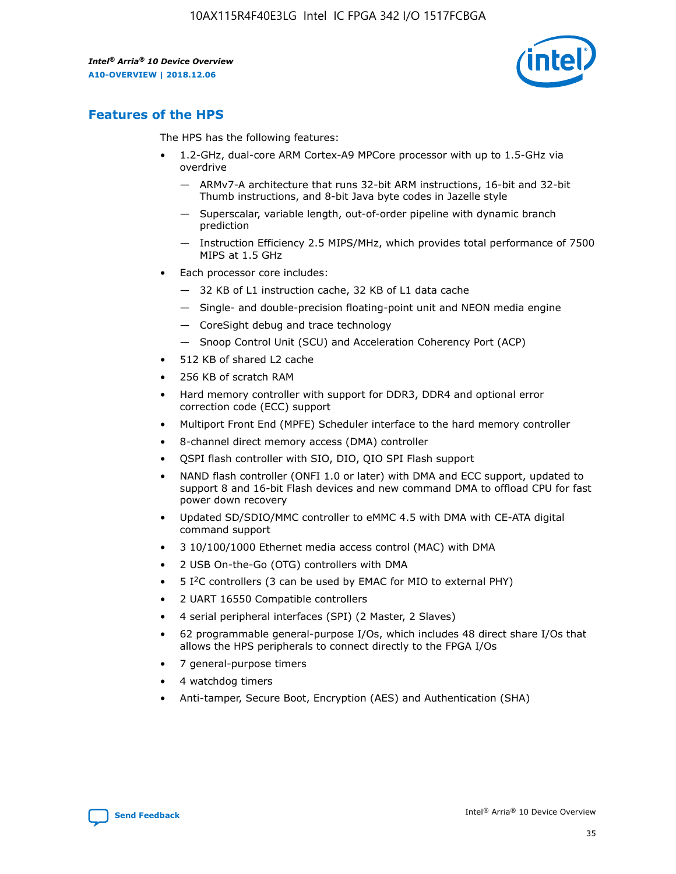

## **Features of the HPS**

The HPS has the following features:

- 1.2-GHz, dual-core ARM Cortex-A9 MPCore processor with up to 1.5-GHz via overdrive
	- ARMv7-A architecture that runs 32-bit ARM instructions, 16-bit and 32-bit Thumb instructions, and 8-bit Java byte codes in Jazelle style
	- Superscalar, variable length, out-of-order pipeline with dynamic branch prediction
	- Instruction Efficiency 2.5 MIPS/MHz, which provides total performance of 7500 MIPS at 1.5 GHz
- Each processor core includes:
	- 32 KB of L1 instruction cache, 32 KB of L1 data cache
	- Single- and double-precision floating-point unit and NEON media engine
	- CoreSight debug and trace technology
	- Snoop Control Unit (SCU) and Acceleration Coherency Port (ACP)
- 512 KB of shared L2 cache
- 256 KB of scratch RAM
- Hard memory controller with support for DDR3, DDR4 and optional error correction code (ECC) support
- Multiport Front End (MPFE) Scheduler interface to the hard memory controller
- 8-channel direct memory access (DMA) controller
- QSPI flash controller with SIO, DIO, QIO SPI Flash support
- NAND flash controller (ONFI 1.0 or later) with DMA and ECC support, updated to support 8 and 16-bit Flash devices and new command DMA to offload CPU for fast power down recovery
- Updated SD/SDIO/MMC controller to eMMC 4.5 with DMA with CE-ATA digital command support
- 3 10/100/1000 Ethernet media access control (MAC) with DMA
- 2 USB On-the-Go (OTG) controllers with DMA
- $\bullet$  5 I<sup>2</sup>C controllers (3 can be used by EMAC for MIO to external PHY)
- 2 UART 16550 Compatible controllers
- 4 serial peripheral interfaces (SPI) (2 Master, 2 Slaves)
- 62 programmable general-purpose I/Os, which includes 48 direct share I/Os that allows the HPS peripherals to connect directly to the FPGA I/Os
- 7 general-purpose timers
- 4 watchdog timers
- Anti-tamper, Secure Boot, Encryption (AES) and Authentication (SHA)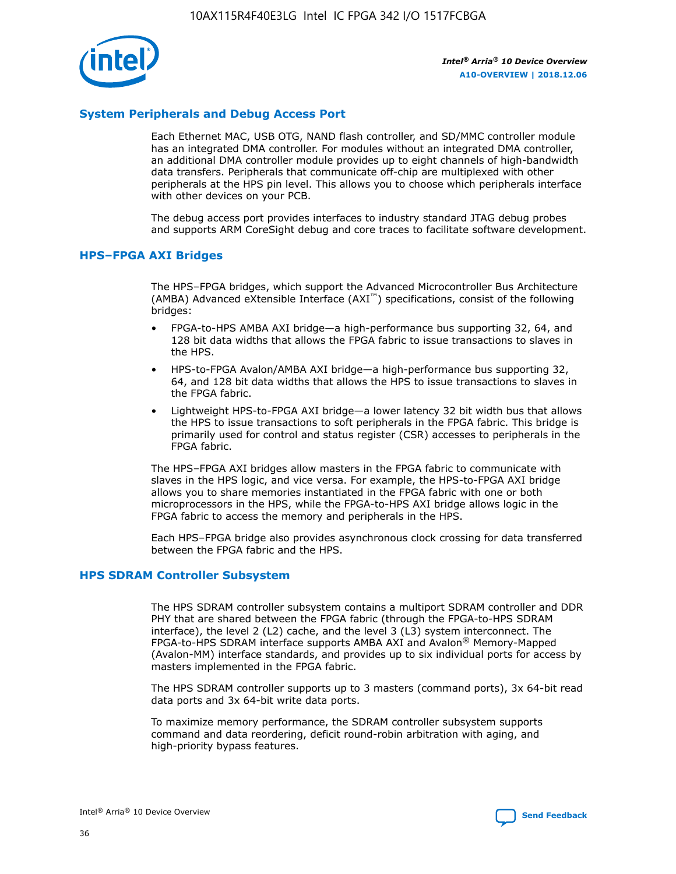

## **System Peripherals and Debug Access Port**

Each Ethernet MAC, USB OTG, NAND flash controller, and SD/MMC controller module has an integrated DMA controller. For modules without an integrated DMA controller, an additional DMA controller module provides up to eight channels of high-bandwidth data transfers. Peripherals that communicate off-chip are multiplexed with other peripherals at the HPS pin level. This allows you to choose which peripherals interface with other devices on your PCB.

The debug access port provides interfaces to industry standard JTAG debug probes and supports ARM CoreSight debug and core traces to facilitate software development.

#### **HPS–FPGA AXI Bridges**

The HPS–FPGA bridges, which support the Advanced Microcontroller Bus Architecture (AMBA) Advanced eXtensible Interface (AXI™) specifications, consist of the following bridges:

- FPGA-to-HPS AMBA AXI bridge—a high-performance bus supporting 32, 64, and 128 bit data widths that allows the FPGA fabric to issue transactions to slaves in the HPS.
- HPS-to-FPGA Avalon/AMBA AXI bridge—a high-performance bus supporting 32, 64, and 128 bit data widths that allows the HPS to issue transactions to slaves in the FPGA fabric.
- Lightweight HPS-to-FPGA AXI bridge—a lower latency 32 bit width bus that allows the HPS to issue transactions to soft peripherals in the FPGA fabric. This bridge is primarily used for control and status register (CSR) accesses to peripherals in the FPGA fabric.

The HPS–FPGA AXI bridges allow masters in the FPGA fabric to communicate with slaves in the HPS logic, and vice versa. For example, the HPS-to-FPGA AXI bridge allows you to share memories instantiated in the FPGA fabric with one or both microprocessors in the HPS, while the FPGA-to-HPS AXI bridge allows logic in the FPGA fabric to access the memory and peripherals in the HPS.

Each HPS–FPGA bridge also provides asynchronous clock crossing for data transferred between the FPGA fabric and the HPS.

#### **HPS SDRAM Controller Subsystem**

The HPS SDRAM controller subsystem contains a multiport SDRAM controller and DDR PHY that are shared between the FPGA fabric (through the FPGA-to-HPS SDRAM interface), the level 2 (L2) cache, and the level 3 (L3) system interconnect. The FPGA-to-HPS SDRAM interface supports AMBA AXI and Avalon® Memory-Mapped (Avalon-MM) interface standards, and provides up to six individual ports for access by masters implemented in the FPGA fabric.

The HPS SDRAM controller supports up to 3 masters (command ports), 3x 64-bit read data ports and 3x 64-bit write data ports.

To maximize memory performance, the SDRAM controller subsystem supports command and data reordering, deficit round-robin arbitration with aging, and high-priority bypass features.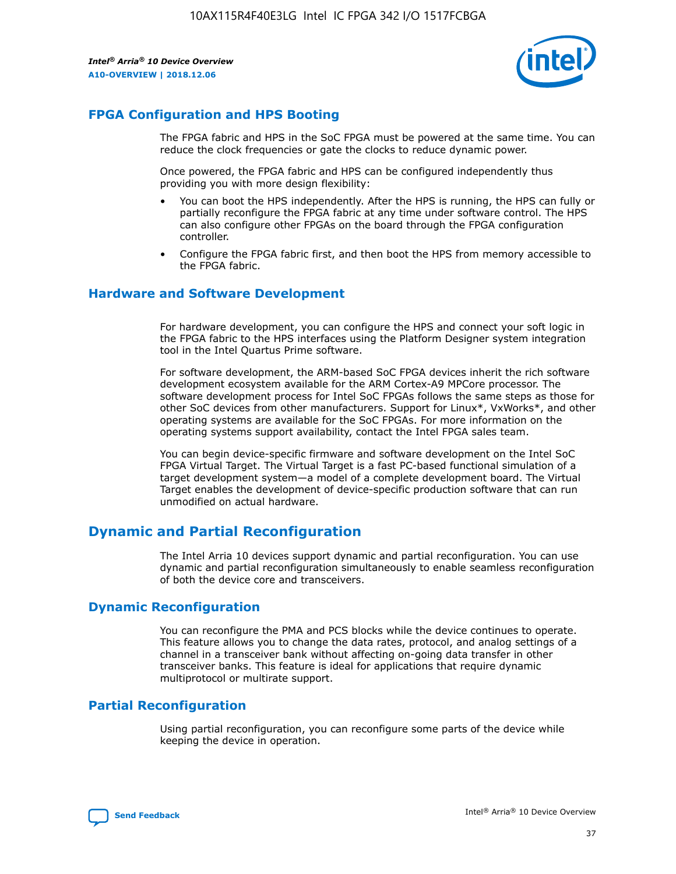

## **FPGA Configuration and HPS Booting**

The FPGA fabric and HPS in the SoC FPGA must be powered at the same time. You can reduce the clock frequencies or gate the clocks to reduce dynamic power.

Once powered, the FPGA fabric and HPS can be configured independently thus providing you with more design flexibility:

- You can boot the HPS independently. After the HPS is running, the HPS can fully or partially reconfigure the FPGA fabric at any time under software control. The HPS can also configure other FPGAs on the board through the FPGA configuration controller.
- Configure the FPGA fabric first, and then boot the HPS from memory accessible to the FPGA fabric.

## **Hardware and Software Development**

For hardware development, you can configure the HPS and connect your soft logic in the FPGA fabric to the HPS interfaces using the Platform Designer system integration tool in the Intel Quartus Prime software.

For software development, the ARM-based SoC FPGA devices inherit the rich software development ecosystem available for the ARM Cortex-A9 MPCore processor. The software development process for Intel SoC FPGAs follows the same steps as those for other SoC devices from other manufacturers. Support for Linux\*, VxWorks\*, and other operating systems are available for the SoC FPGAs. For more information on the operating systems support availability, contact the Intel FPGA sales team.

You can begin device-specific firmware and software development on the Intel SoC FPGA Virtual Target. The Virtual Target is a fast PC-based functional simulation of a target development system—a model of a complete development board. The Virtual Target enables the development of device-specific production software that can run unmodified on actual hardware.

## **Dynamic and Partial Reconfiguration**

The Intel Arria 10 devices support dynamic and partial reconfiguration. You can use dynamic and partial reconfiguration simultaneously to enable seamless reconfiguration of both the device core and transceivers.

## **Dynamic Reconfiguration**

You can reconfigure the PMA and PCS blocks while the device continues to operate. This feature allows you to change the data rates, protocol, and analog settings of a channel in a transceiver bank without affecting on-going data transfer in other transceiver banks. This feature is ideal for applications that require dynamic multiprotocol or multirate support.

## **Partial Reconfiguration**

Using partial reconfiguration, you can reconfigure some parts of the device while keeping the device in operation.

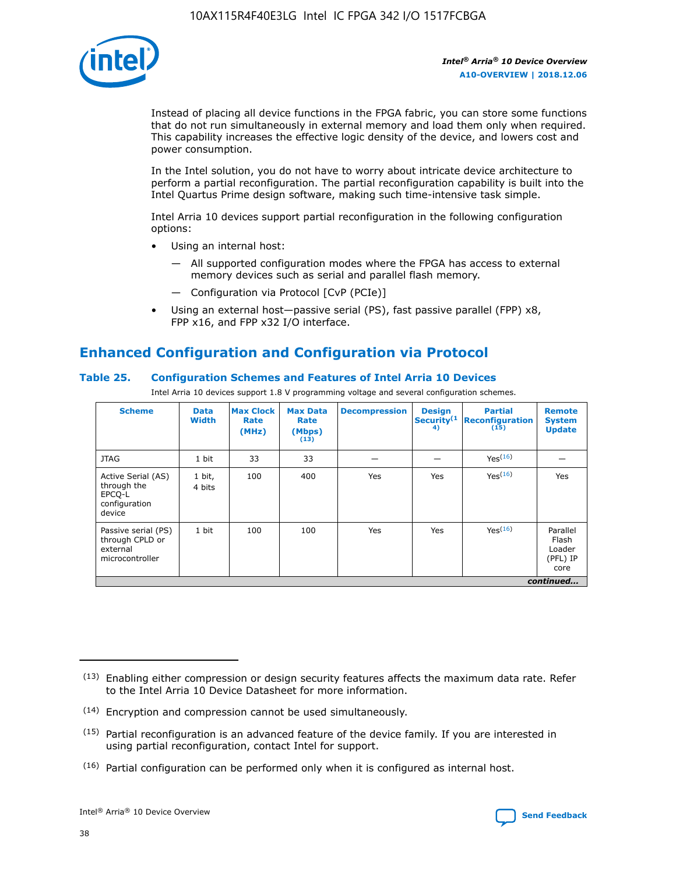

Instead of placing all device functions in the FPGA fabric, you can store some functions that do not run simultaneously in external memory and load them only when required. This capability increases the effective logic density of the device, and lowers cost and power consumption.

In the Intel solution, you do not have to worry about intricate device architecture to perform a partial reconfiguration. The partial reconfiguration capability is built into the Intel Quartus Prime design software, making such time-intensive task simple.

Intel Arria 10 devices support partial reconfiguration in the following configuration options:

- Using an internal host:
	- All supported configuration modes where the FPGA has access to external memory devices such as serial and parallel flash memory.
	- Configuration via Protocol [CvP (PCIe)]
- Using an external host—passive serial (PS), fast passive parallel (FPP) x8, FPP x16, and FPP x32 I/O interface.

## **Enhanced Configuration and Configuration via Protocol**

## **Table 25. Configuration Schemes and Features of Intel Arria 10 Devices**

Intel Arria 10 devices support 1.8 V programming voltage and several configuration schemes.

| <b>Scheme</b>                                                          | <b>Data</b><br><b>Width</b> | <b>Max Clock</b><br>Rate<br>(MHz) | <b>Max Data</b><br>Rate<br>(Mbps)<br>(13) | <b>Decompression</b> | <b>Design</b><br>Security <sup>(1</sup><br>4) | <b>Partial</b><br>Reconfiguration<br>(15) | <b>Remote</b><br><b>System</b><br><b>Update</b> |
|------------------------------------------------------------------------|-----------------------------|-----------------------------------|-------------------------------------------|----------------------|-----------------------------------------------|-------------------------------------------|-------------------------------------------------|
| <b>JTAG</b>                                                            | 1 bit                       | 33                                | 33                                        |                      |                                               | Yes <sup>(16)</sup>                       |                                                 |
| Active Serial (AS)<br>through the<br>EPCO-L<br>configuration<br>device | 1 bit,<br>4 bits            | 100                               | 400                                       | Yes                  | Yes                                           | $Y_{PS}(16)$                              | Yes                                             |
| Passive serial (PS)<br>through CPLD or<br>external<br>microcontroller  | 1 bit                       | 100                               | 100                                       | Yes                  | Yes                                           | Yes(16)                                   | Parallel<br>Flash<br>Loader<br>(PFL) IP<br>core |
|                                                                        |                             |                                   |                                           |                      |                                               |                                           | continued                                       |

<sup>(13)</sup> Enabling either compression or design security features affects the maximum data rate. Refer to the Intel Arria 10 Device Datasheet for more information.

<sup>(14)</sup> Encryption and compression cannot be used simultaneously.

 $(15)$  Partial reconfiguration is an advanced feature of the device family. If you are interested in using partial reconfiguration, contact Intel for support.

 $(16)$  Partial configuration can be performed only when it is configured as internal host.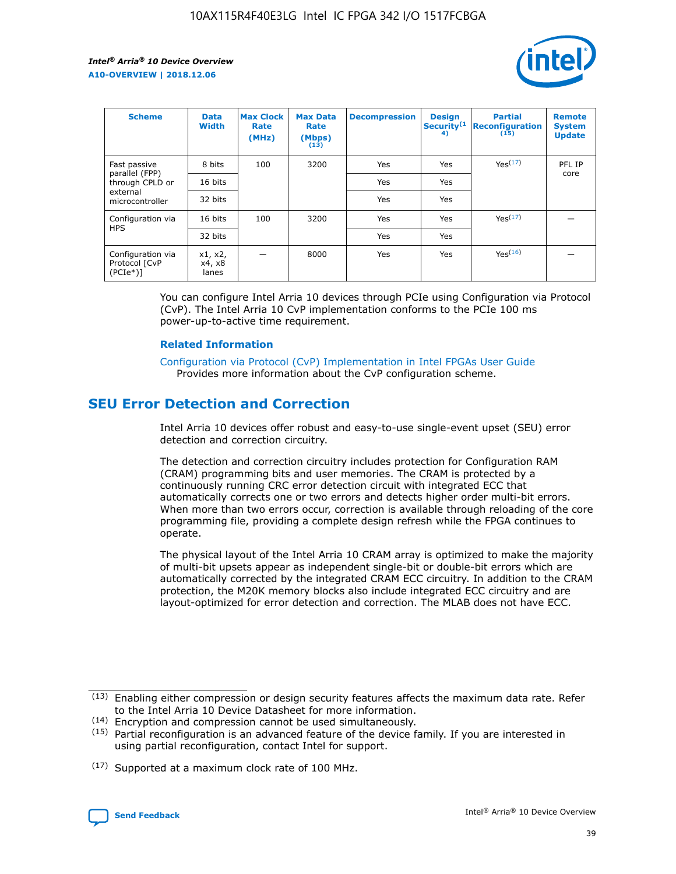

| <b>Scheme</b>                                   | <b>Data</b><br><b>Width</b> | <b>Max Clock</b><br>Rate<br>(MHz) | <b>Max Data</b><br>Rate<br>(Mbps)<br>(13) | <b>Decompression</b> | <b>Design</b><br>Security <sup>(1</sup><br>4) | <b>Partial</b><br><b>Reconfiguration</b><br>(15) | <b>Remote</b><br><b>System</b><br><b>Update</b> |
|-------------------------------------------------|-----------------------------|-----------------------------------|-------------------------------------------|----------------------|-----------------------------------------------|--------------------------------------------------|-------------------------------------------------|
| Fast passive                                    | 8 bits                      | 100                               | 3200                                      | Yes                  | Yes                                           | Yes(17)                                          | PFL IP                                          |
| parallel (FPP)<br>through CPLD or               | 16 bits                     |                                   |                                           | Yes                  | Yes                                           |                                                  | core                                            |
| external<br>microcontroller                     | 32 bits                     |                                   |                                           | Yes                  | Yes                                           |                                                  |                                                 |
| Configuration via                               | 16 bits                     | 100                               | 3200                                      | Yes                  | Yes                                           | Yes <sup>(17)</sup>                              |                                                 |
| <b>HPS</b>                                      | 32 bits                     |                                   |                                           | Yes                  | Yes                                           |                                                  |                                                 |
| Configuration via<br>Protocol [CvP<br>$(PCIe*)$ | x1, x2,<br>x4, x8<br>lanes  |                                   | 8000                                      | Yes                  | Yes                                           | Yes <sup>(16)</sup>                              |                                                 |

You can configure Intel Arria 10 devices through PCIe using Configuration via Protocol (CvP). The Intel Arria 10 CvP implementation conforms to the PCIe 100 ms power-up-to-active time requirement.

#### **Related Information**

[Configuration via Protocol \(CvP\) Implementation in Intel FPGAs User Guide](https://www.intel.com/content/www/us/en/programmable/documentation/dsu1441819344145.html#dsu1442269728522) Provides more information about the CvP configuration scheme.

## **SEU Error Detection and Correction**

Intel Arria 10 devices offer robust and easy-to-use single-event upset (SEU) error detection and correction circuitry.

The detection and correction circuitry includes protection for Configuration RAM (CRAM) programming bits and user memories. The CRAM is protected by a continuously running CRC error detection circuit with integrated ECC that automatically corrects one or two errors and detects higher order multi-bit errors. When more than two errors occur, correction is available through reloading of the core programming file, providing a complete design refresh while the FPGA continues to operate.

The physical layout of the Intel Arria 10 CRAM array is optimized to make the majority of multi-bit upsets appear as independent single-bit or double-bit errors which are automatically corrected by the integrated CRAM ECC circuitry. In addition to the CRAM protection, the M20K memory blocks also include integrated ECC circuitry and are layout-optimized for error detection and correction. The MLAB does not have ECC.

(14) Encryption and compression cannot be used simultaneously.

<sup>(17)</sup> Supported at a maximum clock rate of 100 MHz.



 $(13)$  Enabling either compression or design security features affects the maximum data rate. Refer to the Intel Arria 10 Device Datasheet for more information.

 $(15)$  Partial reconfiguration is an advanced feature of the device family. If you are interested in using partial reconfiguration, contact Intel for support.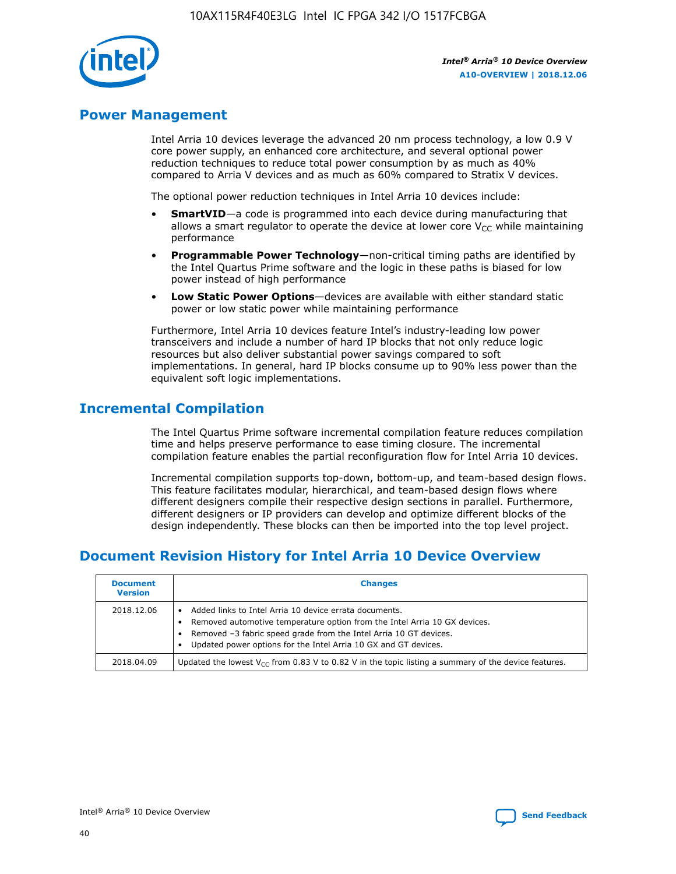

## **Power Management**

Intel Arria 10 devices leverage the advanced 20 nm process technology, a low 0.9 V core power supply, an enhanced core architecture, and several optional power reduction techniques to reduce total power consumption by as much as 40% compared to Arria V devices and as much as 60% compared to Stratix V devices.

The optional power reduction techniques in Intel Arria 10 devices include:

- **SmartVID**—a code is programmed into each device during manufacturing that allows a smart regulator to operate the device at lower core  $V_{CC}$  while maintaining performance
- **Programmable Power Technology**—non-critical timing paths are identified by the Intel Quartus Prime software and the logic in these paths is biased for low power instead of high performance
- **Low Static Power Options**—devices are available with either standard static power or low static power while maintaining performance

Furthermore, Intel Arria 10 devices feature Intel's industry-leading low power transceivers and include a number of hard IP blocks that not only reduce logic resources but also deliver substantial power savings compared to soft implementations. In general, hard IP blocks consume up to 90% less power than the equivalent soft logic implementations.

## **Incremental Compilation**

The Intel Quartus Prime software incremental compilation feature reduces compilation time and helps preserve performance to ease timing closure. The incremental compilation feature enables the partial reconfiguration flow for Intel Arria 10 devices.

Incremental compilation supports top-down, bottom-up, and team-based design flows. This feature facilitates modular, hierarchical, and team-based design flows where different designers compile their respective design sections in parallel. Furthermore, different designers or IP providers can develop and optimize different blocks of the design independently. These blocks can then be imported into the top level project.

## **Document Revision History for Intel Arria 10 Device Overview**

| <b>Document</b><br><b>Version</b> | <b>Changes</b>                                                                                                                                                                                                                                                              |
|-----------------------------------|-----------------------------------------------------------------------------------------------------------------------------------------------------------------------------------------------------------------------------------------------------------------------------|
| 2018.12.06                        | Added links to Intel Arria 10 device errata documents.<br>Removed automotive temperature option from the Intel Arria 10 GX devices.<br>Removed -3 fabric speed grade from the Intel Arria 10 GT devices.<br>Updated power options for the Intel Arria 10 GX and GT devices. |
| 2018.04.09                        | Updated the lowest $V_{CC}$ from 0.83 V to 0.82 V in the topic listing a summary of the device features.                                                                                                                                                                    |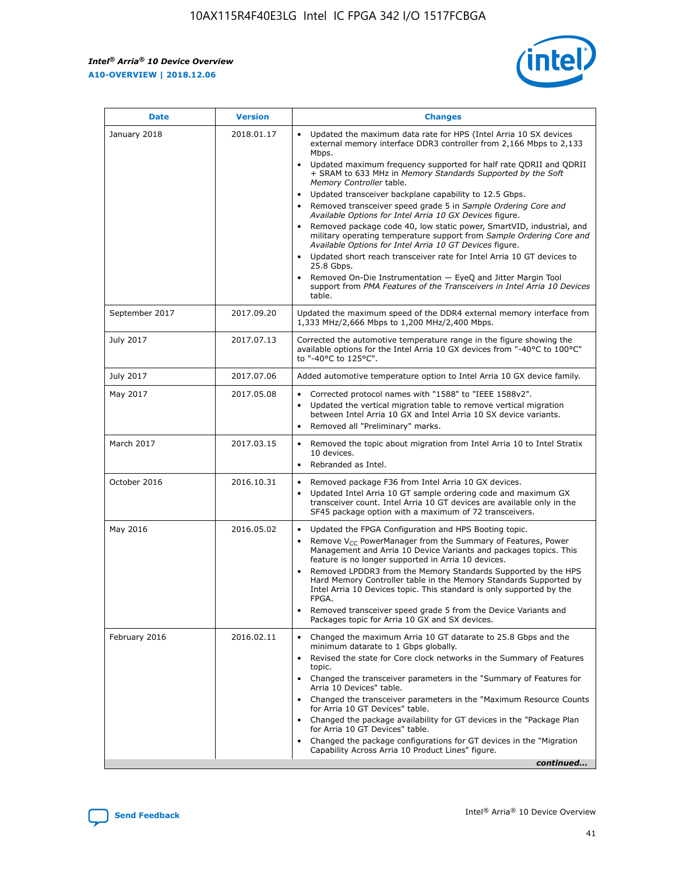*Intel® Arria® 10 Device Overview* **A10-OVERVIEW | 2018.12.06**



| <b>Date</b>    | <b>Version</b> | <b>Changes</b>                                                                                                                                                                                                                                                                                                                                                                                                                                                                                                                                                                                                                                                                                                                                                                                                                                                                                                                                                            |
|----------------|----------------|---------------------------------------------------------------------------------------------------------------------------------------------------------------------------------------------------------------------------------------------------------------------------------------------------------------------------------------------------------------------------------------------------------------------------------------------------------------------------------------------------------------------------------------------------------------------------------------------------------------------------------------------------------------------------------------------------------------------------------------------------------------------------------------------------------------------------------------------------------------------------------------------------------------------------------------------------------------------------|
| January 2018   | 2018.01.17     | Updated the maximum data rate for HPS (Intel Arria 10 SX devices<br>external memory interface DDR3 controller from 2,166 Mbps to 2,133<br>Mbps.<br>Updated maximum frequency supported for half rate QDRII and QDRII<br>+ SRAM to 633 MHz in Memory Standards Supported by the Soft<br>Memory Controller table.<br>Updated transceiver backplane capability to 12.5 Gbps.<br>$\bullet$<br>Removed transceiver speed grade 5 in Sample Ordering Core and<br>Available Options for Intel Arria 10 GX Devices figure.<br>Removed package code 40, low static power, SmartVID, industrial, and<br>military operating temperature support from Sample Ordering Core and<br>Available Options for Intel Arria 10 GT Devices figure.<br>Updated short reach transceiver rate for Intel Arria 10 GT devices to<br>25.8 Gbps.<br>Removed On-Die Instrumentation - EyeQ and Jitter Margin Tool<br>support from PMA Features of the Transceivers in Intel Arria 10 Devices<br>table. |
| September 2017 | 2017.09.20     | Updated the maximum speed of the DDR4 external memory interface from<br>1,333 MHz/2,666 Mbps to 1,200 MHz/2,400 Mbps.                                                                                                                                                                                                                                                                                                                                                                                                                                                                                                                                                                                                                                                                                                                                                                                                                                                     |
| July 2017      | 2017.07.13     | Corrected the automotive temperature range in the figure showing the<br>available options for the Intel Arria 10 GX devices from "-40°C to 100°C"<br>to "-40°C to 125°C".                                                                                                                                                                                                                                                                                                                                                                                                                                                                                                                                                                                                                                                                                                                                                                                                 |
| July 2017      | 2017.07.06     | Added automotive temperature option to Intel Arria 10 GX device family.                                                                                                                                                                                                                                                                                                                                                                                                                                                                                                                                                                                                                                                                                                                                                                                                                                                                                                   |
| May 2017       | 2017.05.08     | Corrected protocol names with "1588" to "IEEE 1588v2".<br>Updated the vertical migration table to remove vertical migration<br>between Intel Arria 10 GX and Intel Arria 10 SX device variants.<br>Removed all "Preliminary" marks.                                                                                                                                                                                                                                                                                                                                                                                                                                                                                                                                                                                                                                                                                                                                       |
| March 2017     | 2017.03.15     | Removed the topic about migration from Intel Arria 10 to Intel Stratix<br>10 devices.<br>Rebranded as Intel.<br>$\bullet$                                                                                                                                                                                                                                                                                                                                                                                                                                                                                                                                                                                                                                                                                                                                                                                                                                                 |
| October 2016   | 2016.10.31     | Removed package F36 from Intel Arria 10 GX devices.<br>Updated Intel Arria 10 GT sample ordering code and maximum GX<br>$\bullet$<br>transceiver count. Intel Arria 10 GT devices are available only in the<br>SF45 package option with a maximum of 72 transceivers.                                                                                                                                                                                                                                                                                                                                                                                                                                                                                                                                                                                                                                                                                                     |
| May 2016       | 2016.05.02     | Updated the FPGA Configuration and HPS Booting topic.<br>Remove V <sub>CC</sub> PowerManager from the Summary of Features, Power<br>Management and Arria 10 Device Variants and packages topics. This<br>feature is no longer supported in Arria 10 devices.<br>Removed LPDDR3 from the Memory Standards Supported by the HPS<br>Hard Memory Controller table in the Memory Standards Supported by<br>Intel Arria 10 Devices topic. This standard is only supported by the<br>FPGA.<br>Removed transceiver speed grade 5 from the Device Variants and<br>Packages topic for Arria 10 GX and SX devices.                                                                                                                                                                                                                                                                                                                                                                   |
| February 2016  | 2016.02.11     | Changed the maximum Arria 10 GT datarate to 25.8 Gbps and the<br>minimum datarate to 1 Gbps globally.<br>Revised the state for Core clock networks in the Summary of Features<br>$\bullet$<br>topic.<br>Changed the transceiver parameters in the "Summary of Features for<br>Arria 10 Devices" table.<br>• Changed the transceiver parameters in the "Maximum Resource Counts<br>for Arria 10 GT Devices" table.<br>• Changed the package availability for GT devices in the "Package Plan<br>for Arria 10 GT Devices" table.<br>Changed the package configurations for GT devices in the "Migration"<br>Capability Across Arria 10 Product Lines" figure.<br>continued                                                                                                                                                                                                                                                                                                  |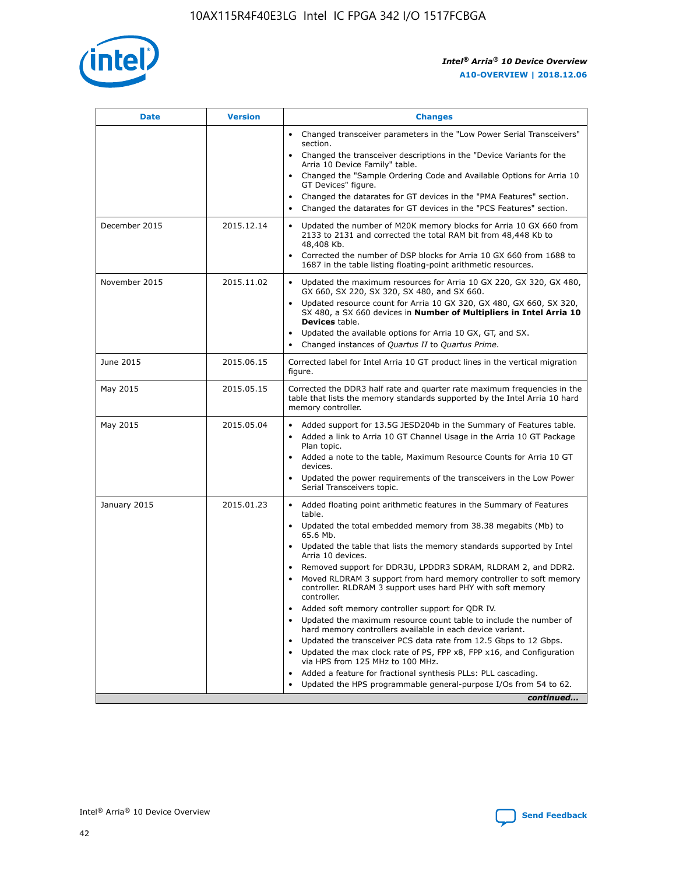

| <b>Date</b>   | <b>Version</b> | <b>Changes</b>                                                                                                                                                               |
|---------------|----------------|------------------------------------------------------------------------------------------------------------------------------------------------------------------------------|
|               |                | • Changed transceiver parameters in the "Low Power Serial Transceivers"<br>section.                                                                                          |
|               |                | • Changed the transceiver descriptions in the "Device Variants for the<br>Arria 10 Device Family" table.                                                                     |
|               |                | Changed the "Sample Ordering Code and Available Options for Arria 10<br>$\bullet$<br>GT Devices" figure.                                                                     |
|               |                | Changed the datarates for GT devices in the "PMA Features" section.                                                                                                          |
|               |                | Changed the datarates for GT devices in the "PCS Features" section.<br>$\bullet$                                                                                             |
| December 2015 | 2015.12.14     | Updated the number of M20K memory blocks for Arria 10 GX 660 from<br>2133 to 2131 and corrected the total RAM bit from 48,448 Kb to<br>48,408 Kb.                            |
|               |                | Corrected the number of DSP blocks for Arria 10 GX 660 from 1688 to<br>1687 in the table listing floating-point arithmetic resources.                                        |
| November 2015 | 2015.11.02     | Updated the maximum resources for Arria 10 GX 220, GX 320, GX 480,<br>$\bullet$<br>GX 660, SX 220, SX 320, SX 480, and SX 660.                                               |
|               |                | • Updated resource count for Arria 10 GX 320, GX 480, GX 660, SX 320,<br>SX 480, a SX 660 devices in Number of Multipliers in Intel Arria 10<br><b>Devices</b> table.        |
|               |                | Updated the available options for Arria 10 GX, GT, and SX.                                                                                                                   |
|               |                | Changed instances of Quartus II to Quartus Prime.<br>$\bullet$                                                                                                               |
| June 2015     | 2015.06.15     | Corrected label for Intel Arria 10 GT product lines in the vertical migration<br>figure.                                                                                     |
| May 2015      | 2015.05.15     | Corrected the DDR3 half rate and quarter rate maximum frequencies in the<br>table that lists the memory standards supported by the Intel Arria 10 hard<br>memory controller. |
| May 2015      | 2015.05.04     | • Added support for 13.5G JESD204b in the Summary of Features table.<br>• Added a link to Arria 10 GT Channel Usage in the Arria 10 GT Package<br>Plan topic.                |
|               |                | • Added a note to the table, Maximum Resource Counts for Arria 10 GT<br>devices.                                                                                             |
|               |                | • Updated the power requirements of the transceivers in the Low Power<br>Serial Transceivers topic.                                                                          |
| January 2015  | 2015.01.23     | • Added floating point arithmetic features in the Summary of Features<br>table.                                                                                              |
|               |                | • Updated the total embedded memory from 38.38 megabits (Mb) to<br>65.6 Mb.                                                                                                  |
|               |                | • Updated the table that lists the memory standards supported by Intel<br>Arria 10 devices.                                                                                  |
|               |                | Removed support for DDR3U, LPDDR3 SDRAM, RLDRAM 2, and DDR2.                                                                                                                 |
|               |                | Moved RLDRAM 3 support from hard memory controller to soft memory<br>controller. RLDRAM 3 support uses hard PHY with soft memory<br>controller.                              |
|               |                | Added soft memory controller support for QDR IV.<br>٠                                                                                                                        |
|               |                | Updated the maximum resource count table to include the number of<br>hard memory controllers available in each device variant.                                               |
|               |                | Updated the transceiver PCS data rate from 12.5 Gbps to 12 Gbps.<br>$\bullet$                                                                                                |
|               |                | Updated the max clock rate of PS, FPP x8, FPP x16, and Configuration<br>via HPS from 125 MHz to 100 MHz.                                                                     |
|               |                | Added a feature for fractional synthesis PLLs: PLL cascading.                                                                                                                |
|               |                | Updated the HPS programmable general-purpose I/Os from 54 to 62.<br>$\bullet$<br>continued                                                                                   |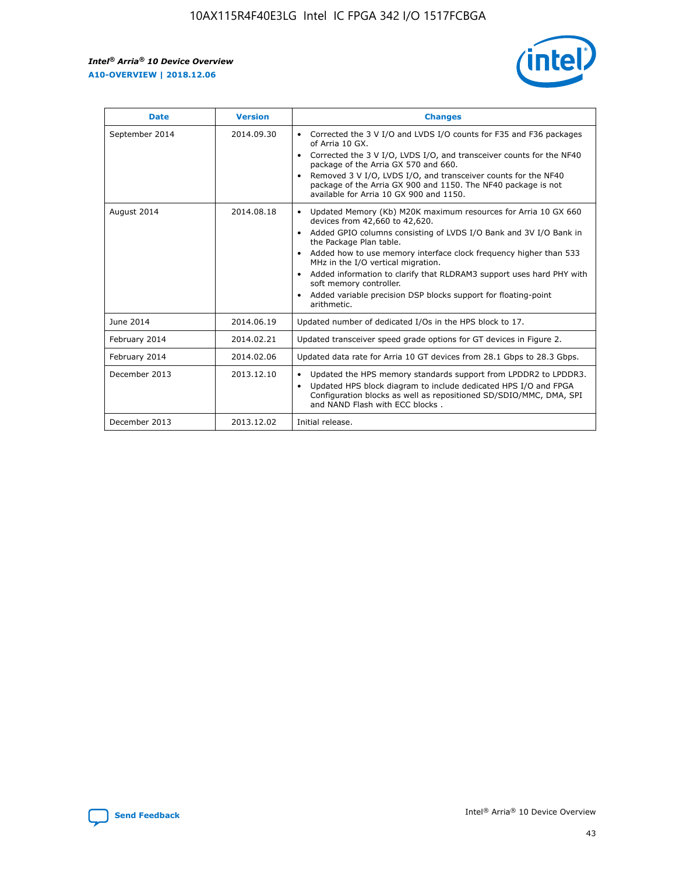r



| <b>Date</b>    | <b>Version</b> | <b>Changes</b>                                                                                                                                                                                                                                                                                                                                                                                                                                                                                                                                      |
|----------------|----------------|-----------------------------------------------------------------------------------------------------------------------------------------------------------------------------------------------------------------------------------------------------------------------------------------------------------------------------------------------------------------------------------------------------------------------------------------------------------------------------------------------------------------------------------------------------|
| September 2014 | 2014.09.30     | Corrected the 3 V I/O and LVDS I/O counts for F35 and F36 packages<br>$\bullet$<br>of Arria 10 GX.<br>Corrected the 3 V I/O, LVDS I/O, and transceiver counts for the NF40<br>$\bullet$<br>package of the Arria GX 570 and 660.<br>Removed 3 V I/O, LVDS I/O, and transceiver counts for the NF40<br>package of the Arria GX 900 and 1150. The NF40 package is not<br>available for Arria 10 GX 900 and 1150.                                                                                                                                       |
| August 2014    | 2014.08.18     | Updated Memory (Kb) M20K maximum resources for Arria 10 GX 660<br>devices from 42,660 to 42,620.<br>Added GPIO columns consisting of LVDS I/O Bank and 3V I/O Bank in<br>$\bullet$<br>the Package Plan table.<br>Added how to use memory interface clock frequency higher than 533<br>$\bullet$<br>MHz in the I/O vertical migration.<br>Added information to clarify that RLDRAM3 support uses hard PHY with<br>$\bullet$<br>soft memory controller.<br>Added variable precision DSP blocks support for floating-point<br>$\bullet$<br>arithmetic. |
| June 2014      | 2014.06.19     | Updated number of dedicated I/Os in the HPS block to 17.                                                                                                                                                                                                                                                                                                                                                                                                                                                                                            |
| February 2014  | 2014.02.21     | Updated transceiver speed grade options for GT devices in Figure 2.                                                                                                                                                                                                                                                                                                                                                                                                                                                                                 |
| February 2014  | 2014.02.06     | Updated data rate for Arria 10 GT devices from 28.1 Gbps to 28.3 Gbps.                                                                                                                                                                                                                                                                                                                                                                                                                                                                              |
| December 2013  | 2013.12.10     | Updated the HPS memory standards support from LPDDR2 to LPDDR3.<br>Updated HPS block diagram to include dedicated HPS I/O and FPGA<br>$\bullet$<br>Configuration blocks as well as repositioned SD/SDIO/MMC, DMA, SPI<br>and NAND Flash with ECC blocks.                                                                                                                                                                                                                                                                                            |
| December 2013  | 2013.12.02     | Initial release.                                                                                                                                                                                                                                                                                                                                                                                                                                                                                                                                    |